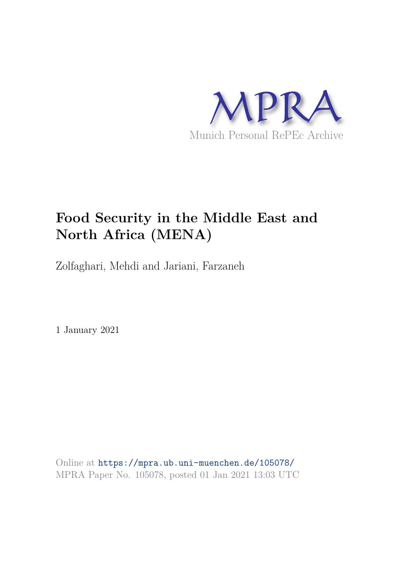

# **Food Security in the Middle East and North Africa (MENA)**

Zolfaghari, Mehdi and Jariani, Farzaneh

1 January 2021

Online at https://mpra.ub.uni-muenchen.de/105078/ MPRA Paper No. 105078, posted 01 Jan 2021 13:03 UTC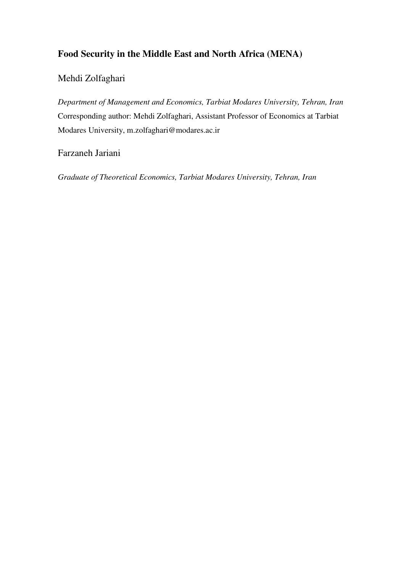## **Food Security in the Middle East and North Africa (MENA)**

## Mehdi Zolfaghari

*Department of Management and Economics, Tarbiat Modares University, Tehran, Iran*  Corresponding author: Mehdi Zolfaghari, Assistant Professor of Economics at Tarbiat Modares University, m.zolfaghari@modares.ac.ir

## Farzaneh Jariani

*Graduate of Theoretical Economics, Tarbiat Modares University, Tehran, Iran*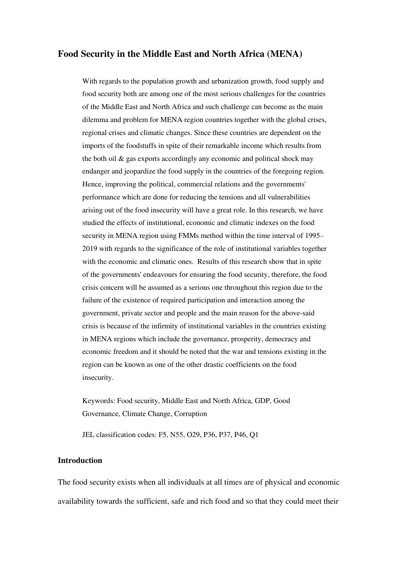#### **Food Security in the Middle East and North Africa (MENA)**

With regards to the population growth and urbanization growth, food supply and food security both are among one of the most serious challenges for the countries of the Middle East and North Africa and such challenge can become as the main dilemma and problem for MENA region countries together with the global crises, regional crises and climatic changes. Since these countries are dependent on the imports of the foodstuffs in spite of their remarkable income which results from the both oil & gas exports accordingly any economic and political shock may endanger and jeopardize the food supply in the countries of the foregoing region. Hence, improving the political, commercial relations and the governments' performance which are done for reducing the tensions and all vulnerabilities arising out of the food insecurity will have a great role. In this research, we have studied the effects of institutional, economic and climatic indexes on the food security in MENA region using FMMs method within the time interval of 1995– 2019 with regards to the significance of the role of institutional variables together with the economic and climatic ones. Results of this research show that in spite of the governments' endeavours for ensuring the food security, therefore, the food crisis concern will be assumed as a serious one throughout this region due to the failure of the existence of required participation and interaction among the government, private sector and people and the main reason for the above-said crisis is because of the infirmity of institutional variables in the countries existing in MENA regions which include the governance, prosperity, democracy and economic freedom and it should be noted that the war and tensions existing in the region can be known as one of the other drastic coefficients on the food insecurity.

Keywords: Food security, Middle East and North Africa, GDP, Good Governance, Climate Change, Corruption

JEL classification codes: F5, N55, O29, P36, P37, P46, Q1

#### **Introduction**

The food security exists when all individuals at all times are of physical and economic availability towards the sufficient, safe and rich food and so that they could meet their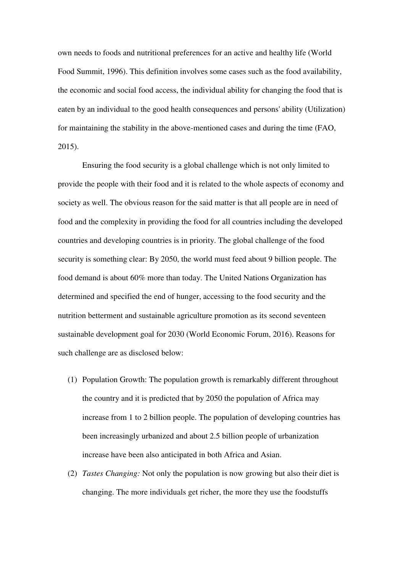own needs to foods and nutritional preferences for an active and healthy life (World Food Summit, 1996). This definition involves some cases such as the food availability, the economic and social food access, the individual ability for changing the food that is eaten by an individual to the good health consequences and persons' ability (Utilization) for maintaining the stability in the above-mentioned cases and during the time (FAO, 2015).

Ensuring the food security is a global challenge which is not only limited to provide the people with their food and it is related to the whole aspects of economy and society as well. The obvious reason for the said matter is that all people are in need of food and the complexity in providing the food for all countries including the developed countries and developing countries is in priority. The global challenge of the food security is something clear: By 2050, the world must feed about 9 billion people. The food demand is about 60% more than today. The United Nations Organization has determined and specified the end of hunger, accessing to the food security and the nutrition betterment and sustainable agriculture promotion as its second seventeen sustainable development goal for 2030 (World Economic Forum, 2016). Reasons for such challenge are as disclosed below:

- (1) Population Growth: The population growth is remarkably different throughout the country and it is predicted that by 2050 the population of Africa may increase from 1 to 2 billion people. The population of developing countries has been increasingly urbanized and about 2.5 billion people of urbanization increase have been also anticipated in both Africa and Asian.
- (2) *Tastes Changing:* Not only the population is now growing but also their diet is changing. The more individuals get richer, the more they use the foodstuffs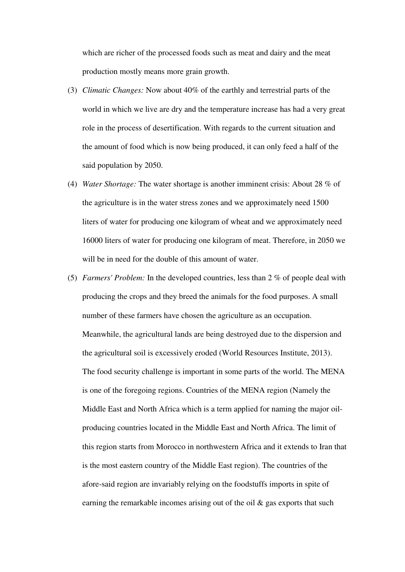which are richer of the processed foods such as meat and dairy and the meat production mostly means more grain growth.

- (3) *Climatic Changes:* Now about 40% of the earthly and terrestrial parts of the world in which we live are dry and the temperature increase has had a very great role in the process of desertification. With regards to the current situation and the amount of food which is now being produced, it can only feed a half of the said population by 2050.
- (4) *Water Shortage:* The water shortage is another imminent crisis: About 28 % of the agriculture is in the water stress zones and we approximately need 1500 liters of water for producing one kilogram of wheat and we approximately need 16000 liters of water for producing one kilogram of meat. Therefore, in 2050 we will be in need for the double of this amount of water.
- (5) *Farmers' Problem:* In the developed countries, less than 2 % of people deal with producing the crops and they breed the animals for the food purposes. A small number of these farmers have chosen the agriculture as an occupation. Meanwhile, the agricultural lands are being destroyed due to the dispersion and the agricultural soil is excessively eroded (World Resources Institute, 2013). The food security challenge is important in some parts of the world. The MENA is one of the foregoing regions. Countries of the MENA region (Namely the Middle East and North Africa which is a term applied for naming the major oilproducing countries located in the Middle East and North Africa. The limit of this region starts from Morocco in northwestern Africa and it extends to Iran that is the most eastern country of the Middle East region). The countries of the afore-said region are invariably relying on the foodstuffs imports in spite of earning the remarkable incomes arising out of the oil & gas exports that such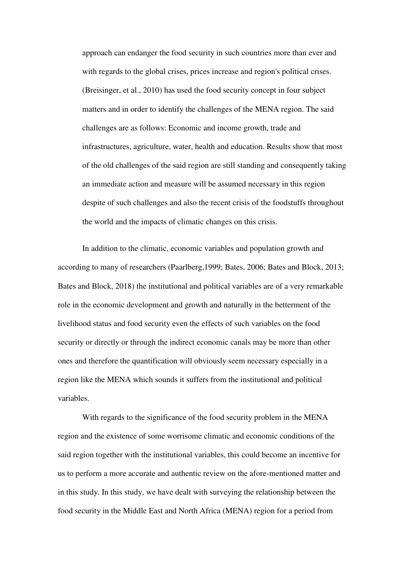approach can endanger the food security in such countries more than ever and with regards to the global crises, prices increase and region's political crises. (Breisinger, et al., 2010) has used the food security concept in four subject matters and in order to identify the challenges of the MENA region. The said challenges are as follows: Economic and income growth, trade and infrastructures, agriculture, water, health and education. Results show that most of the old challenges of the said region are still standing and consequently taking an immediate action and measure will be assumed necessary in this region despite of such challenges and also the recent crisis of the foodstuffs throughout the world and the impacts of climatic changes on this crisis.

In addition to the climatic, economic variables and population growth and according to many of researchers (Paarlberg,1999; Bates, 2006; Bates and Block, 2013; Bates and Block, 2018) the institutional and political variables are of a very remarkable role in the economic development and growth and naturally in the betterment of the livelihood status and food security even the effects of such variables on the food security or directly or through the indirect economic canals may be more than other ones and therefore the quantification will obviously seem necessary especially in a region like the MENA which sounds it suffers from the institutional and political variables.

With regards to the significance of the food security problem in the MENA region and the existence of some worrisome climatic and economic conditions of the said region together with the institutional variables, this could become an incentive for us to perform a more accurate and authentic review on the afore-mentioned matter and in this study. In this study, we have dealt with surveying the relationship between the food security in the Middle East and North Africa (MENA) region for a period from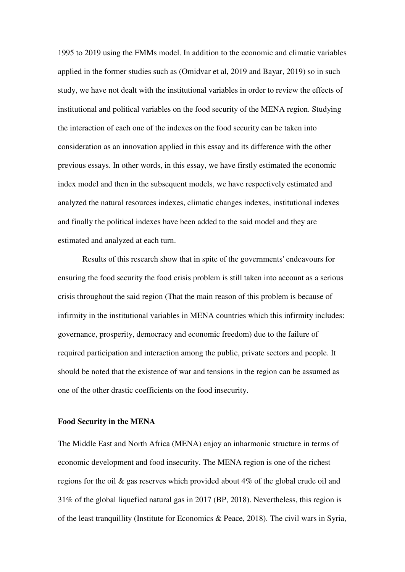1995 to 2019 using the FMMs model. In addition to the economic and climatic variables applied in the former studies such as (Omidvar et al, 2019 and Bayar, 2019) so in such study, we have not dealt with the institutional variables in order to review the effects of institutional and political variables on the food security of the MENA region. Studying the interaction of each one of the indexes on the food security can be taken into consideration as an innovation applied in this essay and its difference with the other previous essays. In other words, in this essay, we have firstly estimated the economic index model and then in the subsequent models, we have respectively estimated and analyzed the natural resources indexes, climatic changes indexes, institutional indexes and finally the political indexes have been added to the said model and they are estimated and analyzed at each turn.

Results of this research show that in spite of the governments' endeavours for ensuring the food security the food crisis problem is still taken into account as a serious crisis throughout the said region (That the main reason of this problem is because of infirmity in the institutional variables in MENA countries which this infirmity includes: governance, prosperity, democracy and economic freedom) due to the failure of required participation and interaction among the public, private sectors and people. It should be noted that the existence of war and tensions in the region can be assumed as one of the other drastic coefficients on the food insecurity.

#### **Food Security in the MENA**

The Middle East and North Africa (MENA) enjoy an inharmonic structure in terms of economic development and food insecurity. The MENA region is one of the richest regions for the oil & gas reserves which provided about 4% of the global crude oil and 31% of the global liquefied natural gas in 2017 (BP, 2018). Nevertheless, this region is of the least tranquillity (Institute for Economics & Peace, 2018). The civil wars in Syria,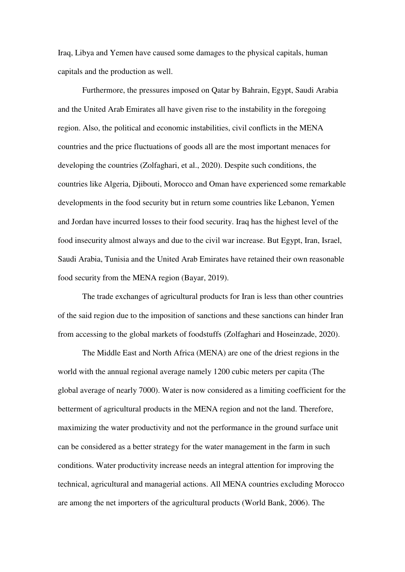Iraq, Libya and Yemen have caused some damages to the physical capitals, human capitals and the production as well.

Furthermore, the pressures imposed on Qatar by Bahrain, Egypt, Saudi Arabia and the United Arab Emirates all have given rise to the instability in the foregoing region. Also, the political and economic instabilities, civil conflicts in the MENA countries and the price fluctuations of goods all are the most important menaces for developing the countries (Zolfaghari, et al., 2020). Despite such conditions, the countries like Algeria, Djibouti, Morocco and Oman have experienced some remarkable developments in the food security but in return some countries like Lebanon, Yemen and Jordan have incurred losses to their food security. Iraq has the highest level of the food insecurity almost always and due to the civil war increase. But Egypt, Iran, Israel, Saudi Arabia, Tunisia and the United Arab Emirates have retained their own reasonable food security from the MENA region (Bayar, 2019).

The trade exchanges of agricultural products for Iran is less than other countries of the said region due to the imposition of sanctions and these sanctions can hinder Iran from accessing to the global markets of foodstuffs (Zolfaghari and Hoseinzade, 2020).

The Middle East and North Africa (MENA) are one of the driest regions in the world with the annual regional average namely 1200 cubic meters per capita (The global average of nearly 7000). Water is now considered as a limiting coefficient for the betterment of agricultural products in the MENA region and not the land. Therefore, maximizing the water productivity and not the performance in the ground surface unit can be considered as a better strategy for the water management in the farm in such conditions. Water productivity increase needs an integral attention for improving the technical, agricultural and managerial actions. All MENA countries excluding Morocco are among the net importers of the agricultural products (World Bank, 2006). The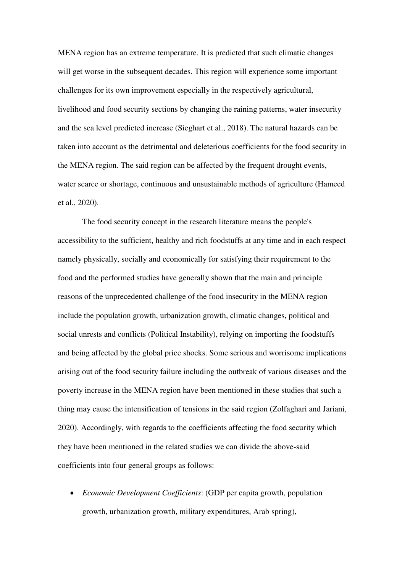MENA region has an extreme temperature. It is predicted that such climatic changes will get worse in the subsequent decades. This region will experience some important challenges for its own improvement especially in the respectively agricultural, livelihood and food security sections by changing the raining patterns, water insecurity and the sea level predicted increase (Sieghart et al., 2018). The natural hazards can be taken into account as the detrimental and deleterious coefficients for the food security in the MENA region. The said region can be affected by the frequent drought events, water scarce or shortage, continuous and unsustainable methods of agriculture (Hameed et al., 2020).

The food security concept in the research literature means the people's accessibility to the sufficient, healthy and rich foodstuffs at any time and in each respect namely physically, socially and economically for satisfying their requirement to the food and the performed studies have generally shown that the main and principle reasons of the unprecedented challenge of the food insecurity in the MENA region include the population growth, urbanization growth, climatic changes, political and social unrests and conflicts (Political Instability), relying on importing the foodstuffs and being affected by the global price shocks. Some serious and worrisome implications arising out of the food security failure including the outbreak of various diseases and the poverty increase in the MENA region have been mentioned in these studies that such a thing may cause the intensification of tensions in the said region (Zolfaghari and Jariani, 2020). Accordingly, with regards to the coefficients affecting the food security which they have been mentioned in the related studies we can divide the above-said coefficients into four general groups as follows:

 *Economic Development Coefficients*: (GDP per capita growth, population growth, urbanization growth, military expenditures, Arab spring),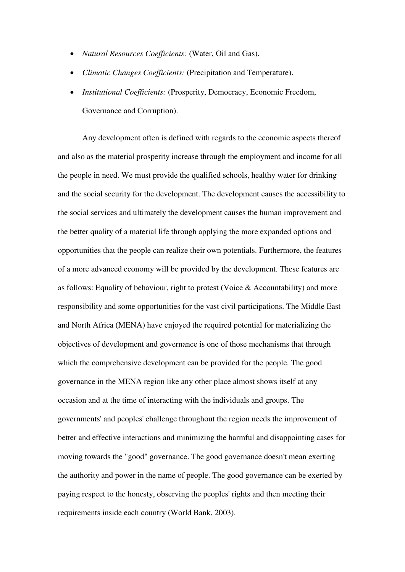- *Natural Resources Coefficients:* (Water, Oil and Gas).
- *Climatic Changes Coefficients:* (Precipitation and Temperature).
- *Institutional Coefficients:* (Prosperity, Democracy, Economic Freedom, Governance and Corruption).

Any development often is defined with regards to the economic aspects thereof and also as the material prosperity increase through the employment and income for all the people in need. We must provide the qualified schools, healthy water for drinking and the social security for the development. The development causes the accessibility to the social services and ultimately the development causes the human improvement and the better quality of a material life through applying the more expanded options and opportunities that the people can realize their own potentials. Furthermore, the features of a more advanced economy will be provided by the development. These features are as follows: Equality of behaviour, right to protest (Voice & Accountability) and more responsibility and some opportunities for the vast civil participations. The Middle East and North Africa (MENA) have enjoyed the required potential for materializing the objectives of development and governance is one of those mechanisms that through which the comprehensive development can be provided for the people. The good governance in the MENA region like any other place almost shows itself at any occasion and at the time of interacting with the individuals and groups. The governments' and peoples' challenge throughout the region needs the improvement of better and effective interactions and minimizing the harmful and disappointing cases for moving towards the "good" governance. The good governance doesn't mean exerting the authority and power in the name of people. The good governance can be exerted by paying respect to the honesty, observing the peoples' rights and then meeting their requirements inside each country (World Bank, 2003).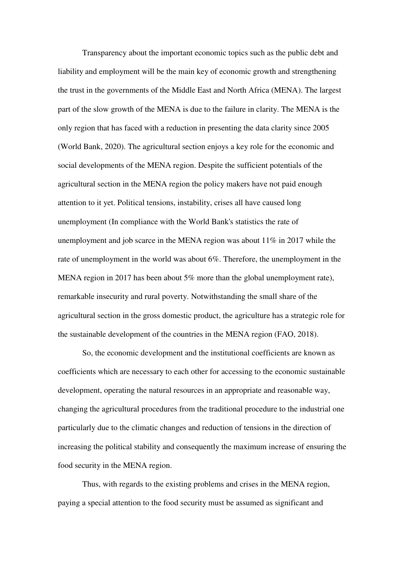Transparency about the important economic topics such as the public debt and liability and employment will be the main key of economic growth and strengthening the trust in the governments of the Middle East and North Africa (MENA). The largest part of the slow growth of the MENA is due to the failure in clarity. The MENA is the only region that has faced with a reduction in presenting the data clarity since 2005 (World Bank, 2020). The agricultural section enjoys a key role for the economic and social developments of the MENA region. Despite the sufficient potentials of the agricultural section in the MENA region the policy makers have not paid enough attention to it yet. Political tensions, instability, crises all have caused long unemployment (In compliance with the World Bank's statistics the rate of unemployment and job scarce in the MENA region was about 11% in 2017 while the rate of unemployment in the world was about 6%. Therefore, the unemployment in the MENA region in 2017 has been about 5% more than the global unemployment rate), remarkable insecurity and rural poverty. Notwithstanding the small share of the agricultural section in the gross domestic product, the agriculture has a strategic role for the sustainable development of the countries in the MENA region (FAO, 2018).

So, the economic development and the institutional coefficients are known as coefficients which are necessary to each other for accessing to the economic sustainable development, operating the natural resources in an appropriate and reasonable way, changing the agricultural procedures from the traditional procedure to the industrial one particularly due to the climatic changes and reduction of tensions in the direction of increasing the political stability and consequently the maximum increase of ensuring the food security in the MENA region.

Thus, with regards to the existing problems and crises in the MENA region, paying a special attention to the food security must be assumed as significant and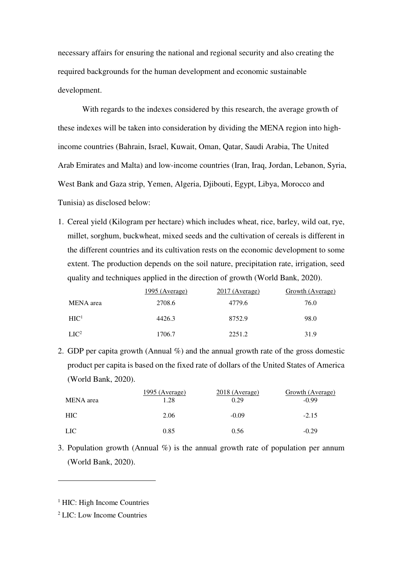necessary affairs for ensuring the national and regional security and also creating the required backgrounds for the human development and economic sustainable development.

With regards to the indexes considered by this research, the average growth of these indexes will be taken into consideration by dividing the MENA region into highincome countries (Bahrain, Israel, Kuwait, Oman, Qatar, Saudi Arabia, The United Arab Emirates and Malta) and low-income countries (Iran, Iraq, Jordan, Lebanon, Syria, West Bank and Gaza strip, Yemen, Algeria, Djibouti, Egypt, Libya, Morocco and Tunisia) as disclosed below:

1. Cereal yield (Kilogram per hectare) which includes wheat, rice, barley, wild oat, rye, millet, sorghum, buckwheat, mixed seeds and the cultivation of cereals is different in the different countries and its cultivation rests on the economic development to some extent. The production depends on the soil nature, precipitation rate, irrigation, seed quality and techniques applied in the direction of growth (World Bank, 2020).

|                  | 1995 (Average) | $2017$ (Average) | Growth (Average) |
|------------------|----------------|------------------|------------------|
| MENA area        | 2708.6         | 4779.6           | 76.0             |
| $\rm HIC^1$      | 4426.3         | 8752.9           | 98.0             |
| LIC <sup>2</sup> | 1706.7         | 2251.2           | 31.9             |

2. GDP per capita growth (Annual %) and the annual growth rate of the gross domestic product per capita is based on the fixed rate of dollars of the United States of America (World Bank, 2020).

|            | 1995 (Average) | 2018 (Average) | Growth (Average) |
|------------|----------------|----------------|------------------|
| MENA area  | 1.28           | 0.29           | $-0.99$          |
| HIC-       | 2.06           | $-0.09$        | $-2.15$          |
| <b>LIC</b> | 0.85           | 0.56           | $-0.29$          |

3. Population growth (Annual  $\%$ ) is the annual growth rate of population per annum (World Bank, 2020).

-

<sup>&</sup>lt;sup>1</sup> HIC: High Income Countries

<sup>2</sup> LIC: Low Income Countries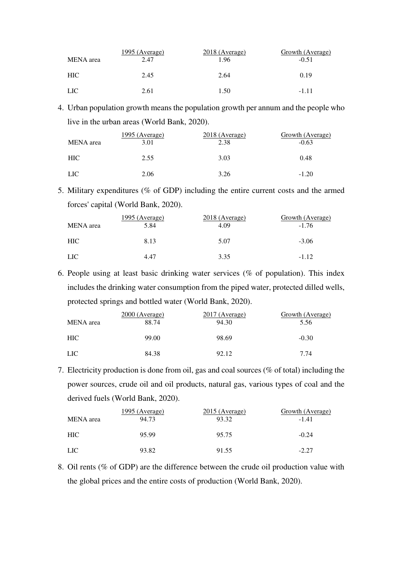| MENA area  | 1995 (Average)<br>2.47 | 2018 (Average)<br>1.96 | Growth (Average)<br>$-0.51$ |
|------------|------------------------|------------------------|-----------------------------|
| <b>HIC</b> | 2.45                   | 2.64                   | 0.19                        |
| <b>LIC</b> | 2.61                   | 1.50                   | $-1.11$                     |

4. Urban population growth means the population growth per annum and the people who live in the urban areas (World Bank, 2020).

| MENA area        | 1995 (Average)<br>3.01 | 2018 (Average)<br>2.38 | Growth (Average)<br>$-0.63$ |
|------------------|------------------------|------------------------|-----------------------------|
| HIC              | 2.55                   | 3.03                   | 0.48                        |
| LIC <sup>.</sup> | 2.06                   | 3.26                   | $-1.20$                     |

5. Military expenditures (% of GDP) including the entire current costs and the armed forces' capital (World Bank, 2020).

| <b>MENA</b> area | <u> 1995 (Average)</u><br>5.84 | 2018 (Average)<br>4.09 | Growth (Average)<br>$-1.76$ |
|------------------|--------------------------------|------------------------|-----------------------------|
| <b>HIC</b>       | 8.13                           | 5.07                   | $-3.06$                     |
| <b>LIC</b>       | 4.47                           | 3.35                   | $-1.12$                     |

6. People using at least basic drinking water services (% of population). This index includes the drinking water consumption from the piped water, protected dilled wells, protected springs and bottled water (World Bank, 2020).

| MENA area        | $2000$ (Average)<br>88.74 | $2017$ (Average)<br>94.30 | Growth (Average)<br>5.56 |
|------------------|---------------------------|---------------------------|--------------------------|
| <b>HIC</b>       | 99.00                     | 98.69                     | $-0.30$                  |
| LIC <sub>1</sub> | 84.38                     | 92.12                     | 7.74                     |

7. Electricity production is done from oil, gas and coal sources (% of total) including the power sources, crude oil and oil products, natural gas, various types of coal and the derived fuels (World Bank, 2020).

| MENA area        | 1995 (Average)<br>94.73 | $2015$ (Average)<br>93.32 | Growth (Average)<br>$-1.41$ |
|------------------|-------------------------|---------------------------|-----------------------------|
| HIC.             | 95.99                   | 95.75                     | $-0.24$                     |
| LIC <sup>.</sup> | 93.82                   | 91.55                     | $-2.27$                     |

8. Oil rents (% of GDP) are the difference between the crude oil production value with the global prices and the entire costs of production (World Bank, 2020).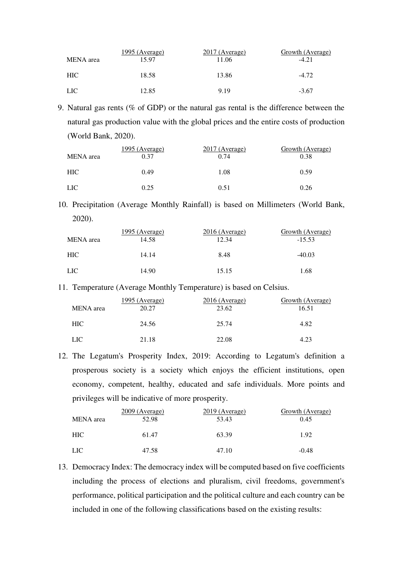| <b>MENA</b> area | 1995 (Average)<br>15.97 | $2017$ (Average)<br>11.06 | Growth (Average)<br>$-4.21$ |
|------------------|-------------------------|---------------------------|-----------------------------|
| <b>HIC</b>       | 18.58                   | 13.86                     | $-4.72$                     |
| LIC.             | 12.85                   | 9.19                      | $-3.67$                     |

9. Natural gas rents (% of GDP) or the natural gas rental is the difference between the natural gas production value with the global prices and the entire costs of production (World Bank, 2020).

| MENA area  | 1995 (Average)<br>0.37 | $2017$ (Average)<br>0.74 | Growth (Average)<br>0.38 |
|------------|------------------------|--------------------------|--------------------------|
| <b>HIC</b> | 0.49                   | 1.08                     | 0.59                     |
| <b>LIC</b> | 0.25                   | 0.51                     | 0.26                     |

10. Precipitation (Average Monthly Rainfall) is based on Millimeters (World Bank, 2020).

| MENA area  | 1995 (Average)<br>14.58 | $2016$ (Average)<br>12.34 | <b>Growth (Average)</b><br>$-15.53$ |
|------------|-------------------------|---------------------------|-------------------------------------|
| <b>HIC</b> | 14.14                   | 8.48                      | $-40.03$                            |
| <b>LIC</b> | 14.90                   | 15.15                     | 1.68                                |

11. Temperature (Average Monthly Temperature) is based on Celsius.

| MENA area  | <u>1995 (Average)</u><br>20.27 | $2016$ (Average)<br>23.62 | Growth (Average)<br>16.51 |
|------------|--------------------------------|---------------------------|---------------------------|
| <b>HIC</b> | 24.56                          | 25.74                     | 4.82                      |
| <b>LIC</b> | 21.18                          | 22.08                     | 4.23                      |

12. The Legatum's Prosperity Index, 2019: According to Legatum's definition a prosperous society is a society which enjoys the efficient institutions, open economy, competent, healthy, educated and safe individuals. More points and privileges will be indicative of more prosperity.

| <b>MENA</b> area | $2009$ (Average)<br>52.98 | $2019$ (Average)<br>53.43 | Growth (Average)<br>0.45 |
|------------------|---------------------------|---------------------------|--------------------------|
| <b>HIC</b>       | 61.47                     | 63.39                     | 1.92                     |
| LIC <sup>1</sup> | 47.58                     | 47.10                     | $-0.48$                  |

13. Democracy Index: The democracy index will be computed based on five coefficients including the process of elections and pluralism, civil freedoms, government's performance, political participation and the political culture and each country can be included in one of the following classifications based on the existing results: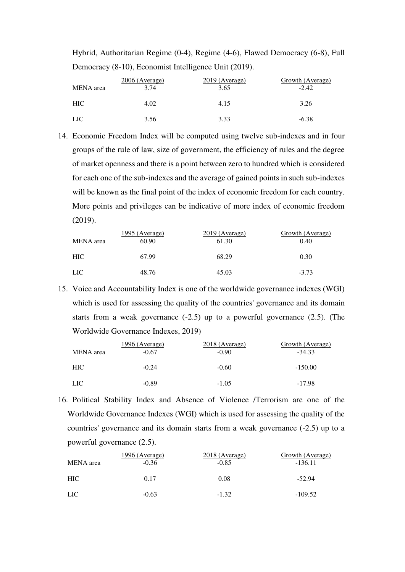| Hybrid, Authoritarian Regime (0-4), Regime (4-6), Flawed Democracy (6-8), Full |
|--------------------------------------------------------------------------------|
| Democracy (8-10), Economist Intelligence Unit (2019).                          |

| <b>MENA</b> area | $2006$ (Average)<br>3.74 | $2019$ (Average)<br>3.65 | Growth (Average)<br>$-2.42$ |  |  |
|------------------|--------------------------|--------------------------|-----------------------------|--|--|
| HIC.             | 4.02                     | 4.15                     | 3.26                        |  |  |
| <b>LIC</b>       | 3.56                     | 3.33                     | $-6.38$                     |  |  |

14. Economic Freedom Index will be computed using twelve sub-indexes and in four groups of the rule of law, size of government, the efficiency of rules and the degree of market openness and there is a point between zero to hundred which is considered for each one of the sub-indexes and the average of gained points in such sub-indexes will be known as the final point of the index of economic freedom for each country. More points and privileges can be indicative of more index of economic freedom (2019).

| <b>MENA</b> area | 1995 (Average)<br>60.90 | $2019$ (Average)<br>61.30 | Growth (Average)<br>0.40 |
|------------------|-------------------------|---------------------------|--------------------------|
| <b>HIC</b>       | 67.99                   | 68.29                     | 0.30                     |
| LIC.             | 48.76                   | 45.03                     | $-3.73$                  |

15. Voice and Accountability Index is one of the worldwide governance indexes (WGI) which is used for assessing the quality of the countries' governance and its domain starts from a weak governance  $(-2.5)$  up to a powerful governance  $(2.5)$ . (The Worldwide Governance Indexes, 2019)

| MENA area        | <u> 1996 (Average)</u><br>$-0.67$ | 2018 (Average)<br>$-0.90$ | <b>Growth</b> (Average)<br>$-34.33$ |
|------------------|-----------------------------------|---------------------------|-------------------------------------|
| <b>HIC</b>       | $-0.24$                           | $-0.60$                   | $-150.00$                           |
| LIC <sup>1</sup> | $-0.89$                           | $-1.05$                   | $-17.98$                            |

16. Political Stability Index and Absence of Violence /Terrorism are one of the Worldwide Governance Indexes (WGI) which is used for assessing the quality of the countries' governance and its domain starts from a weak governance (-2.5) up to a powerful governance (2.5).

| MENA area        | <u> 1996 (Average)</u><br>$-0.36$ | <u>2018 (Average)</u><br>$-0.85$ | <b>Growth (Average)</b><br>$-136.11$ |
|------------------|-----------------------------------|----------------------------------|--------------------------------------|
| HIC-             | 0.17                              | 0.08                             | $-52.94$                             |
| LIC <sup>1</sup> | $-0.63$                           | $-1.32$                          | $-109.52$                            |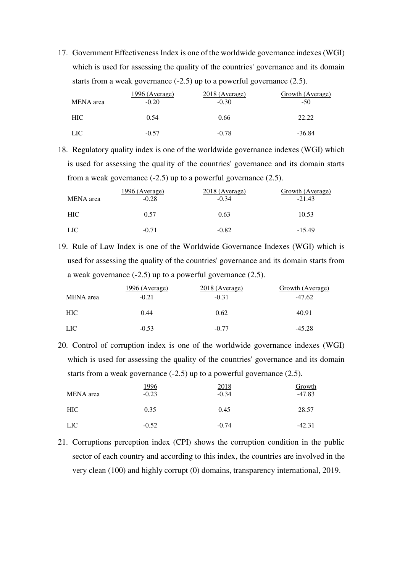17. Government Effectiveness Index is one of the worldwide governance indexes (WGI) which is used for assessing the quality of the countries' governance and its domain starts from a weak governance  $(-2.5)$  up to a powerful governance  $(2.5)$ .

| MENA area  | <u> 1996 (Average)</u><br>$-0.20$ | <u>2018 (Average)</u><br>$-0.30$ | Growth (Average)<br>$-50$ |  |  |
|------------|-----------------------------------|----------------------------------|---------------------------|--|--|
| <b>HIC</b> | 0.54                              | 0.66                             | 22.22                     |  |  |
| <b>LIC</b> | $-0.57$                           | $-0.78$                          | $-36.84$                  |  |  |

18. Regulatory quality index is one of the worldwide governance indexes (WGI) which is used for assessing the quality of the countries' governance and its domain starts from a weak governance  $(-2.5)$  up to a powerful governance  $(2.5)$ .

| MENA area | 1996 (Average)<br>$-0.28$ | 2018 (Average)<br>$-0.34$ | Growth (Average)<br>$-21.43$ |  |  |
|-----------|---------------------------|---------------------------|------------------------------|--|--|
| HIC-      | 0.57                      | 0.63                      | 10.53                        |  |  |
| LIC .     | $-0.71$                   | $-0.82$                   | $-15.49$                     |  |  |

19. Rule of Law Index is one of the Worldwide Governance Indexes (WGI) which is used for assessing the quality of the countries' governance and its domain starts from a weak governance (-2.5) up to a powerful governance (2.5).

|                  | 1996 (Average) | 2018 (Average) | Growth (Average) |
|------------------|----------------|----------------|------------------|
| MENA area        | $-0.21$        | $-0.31$        | $-47.62$         |
| <b>HIC</b>       | 0.44           | 0.62           | 40.91            |
| LIC <sup>.</sup> | $-0.53$        | $-0.77$        | $-45.28$         |

20. Control of corruption index is one of the worldwide governance indexes (WGI) which is used for assessing the quality of the countries' governance and its domain starts from a weak governance  $(-2.5)$  up to a powerful governance  $(2.5)$ .

| MENA area  | <u> 1996</u><br>$-0.23$ | 2018<br>$-0.34$ | Growth<br>$-47.83$ |
|------------|-------------------------|-----------------|--------------------|
| <b>HIC</b> | 0.35                    | 0.45            | 28.57              |
| <b>LIC</b> | $-0.52$                 | $-0.74$         | $-42.31$           |

21. Corruptions perception index (CPI) shows the corruption condition in the public sector of each country and according to this index, the countries are involved in the very clean (100) and highly corrupt (0) domains, transparency international, 2019.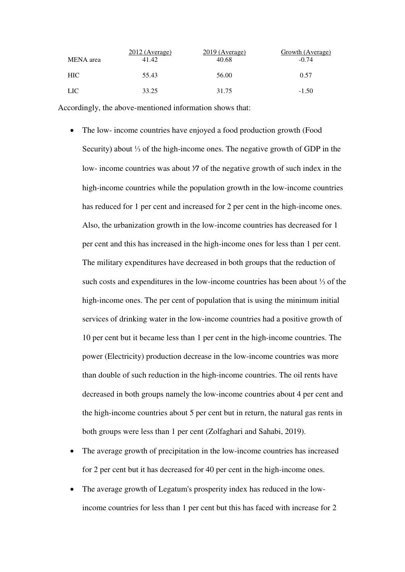|            | $2012$ (Average) | $2019$ (Average) | Growth (Average) |
|------------|------------------|------------------|------------------|
| MENA area  | 41.42            | 40.68            | $-0.74$          |
| HIC-       | 55.43            | 56.00            | 0.57             |
| <b>LIC</b> | 33.25            | 31.75            | $-1.50$          |

Accordingly, the above-mentioned information shows that:

- The low- income countries have enjoyed a food production growth (Food Security) about ⅓ of the high-income ones. The negative growth of GDP in the low- income countries was about  $\mathcal V_7$  of the negative growth of such index in the high-income countries while the population growth in the low-income countries has reduced for 1 per cent and increased for 2 per cent in the high-income ones. Also, the urbanization growth in the low-income countries has decreased for 1 per cent and this has increased in the high-income ones for less than 1 per cent. The military expenditures have decreased in both groups that the reduction of such costs and expenditures in the low-income countries has been about ⅓ of the high-income ones. The per cent of population that is using the minimum initial services of drinking water in the low-income countries had a positive growth of 10 per cent but it became less than 1 per cent in the high-income countries. The power (Electricity) production decrease in the low-income countries was more than double of such reduction in the high-income countries. The oil rents have decreased in both groups namely the low-income countries about 4 per cent and the high-income countries about 5 per cent but in return, the natural gas rents in both groups were less than 1 per cent (Zolfaghari and Sahabi, 2019).
- The average growth of precipitation in the low-income countries has increased for 2 per cent but it has decreased for 40 per cent in the high-income ones.
- The average growth of Legatum's prosperity index has reduced in the lowincome countries for less than 1 per cent but this has faced with increase for 2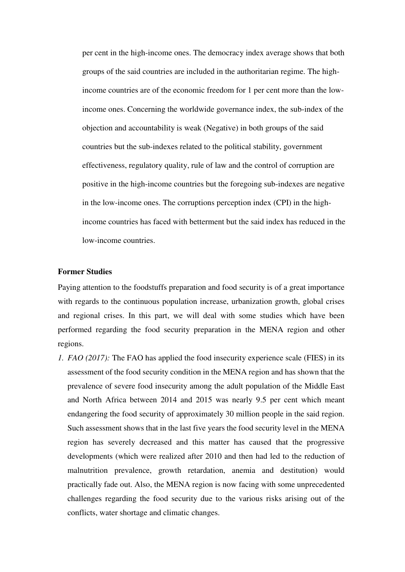per cent in the high-income ones. The democracy index average shows that both groups of the said countries are included in the authoritarian regime. The highincome countries are of the economic freedom for 1 per cent more than the lowincome ones. Concerning the worldwide governance index, the sub-index of the objection and accountability is weak (Negative) in both groups of the said countries but the sub-indexes related to the political stability, government effectiveness, regulatory quality, rule of law and the control of corruption are positive in the high-income countries but the foregoing sub-indexes are negative in the low-income ones. The corruptions perception index (CPI) in the highincome countries has faced with betterment but the said index has reduced in the low-income countries.

#### **Former Studies**

Paying attention to the foodstuffs preparation and food security is of a great importance with regards to the continuous population increase, urbanization growth, global crises and regional crises. In this part, we will deal with some studies which have been performed regarding the food security preparation in the MENA region and other regions.

*1. FAO (2017):* The FAO has applied the food insecurity experience scale (FIES) in its assessment of the food security condition in the MENA region and has shown that the prevalence of severe food insecurity among the adult population of the Middle East and North Africa between 2014 and 2015 was nearly 9.5 per cent which meant endangering the food security of approximately 30 million people in the said region. Such assessment shows that in the last five years the food security level in the MENA region has severely decreased and this matter has caused that the progressive developments (which were realized after 2010 and then had led to the reduction of malnutrition prevalence, growth retardation, anemia and destitution) would practically fade out. Also, the MENA region is now facing with some unprecedented challenges regarding the food security due to the various risks arising out of the conflicts, water shortage and climatic changes.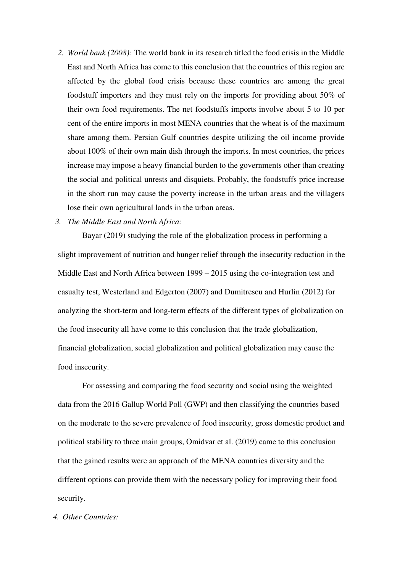- *2. World bank (2008):* The world bank in its research titled the food crisis in the Middle East and North Africa has come to this conclusion that the countries of this region are affected by the global food crisis because these countries are among the great foodstuff importers and they must rely on the imports for providing about 50% of their own food requirements. The net foodstuffs imports involve about 5 to 10 per cent of the entire imports in most MENA countries that the wheat is of the maximum share among them. Persian Gulf countries despite utilizing the oil income provide about 100% of their own main dish through the imports. In most countries, the prices increase may impose a heavy financial burden to the governments other than creating the social and political unrests and disquiets. Probably, the foodstuffs price increase in the short run may cause the poverty increase in the urban areas and the villagers lose their own agricultural lands in the urban areas.
- *3. The Middle East and North Africa:*

Bayar (2019) studying the role of the globalization process in performing a slight improvement of nutrition and hunger relief through the insecurity reduction in the Middle East and North Africa between 1999 – 2015 using the co-integration test and casualty test, Westerland and Edgerton (2007) and Dumitrescu and Hurlin (2012) for analyzing the short-term and long-term effects of the different types of globalization on the food insecurity all have come to this conclusion that the trade globalization, financial globalization, social globalization and political globalization may cause the food insecurity.

For assessing and comparing the food security and social using the weighted data from the 2016 Gallup World Poll (GWP) and then classifying the countries based on the moderate to the severe prevalence of food insecurity, gross domestic product and political stability to three main groups, Omidvar et al. (2019) came to this conclusion that the gained results were an approach of the MENA countries diversity and the different options can provide them with the necessary policy for improving their food security.

#### *4. Other Countries:*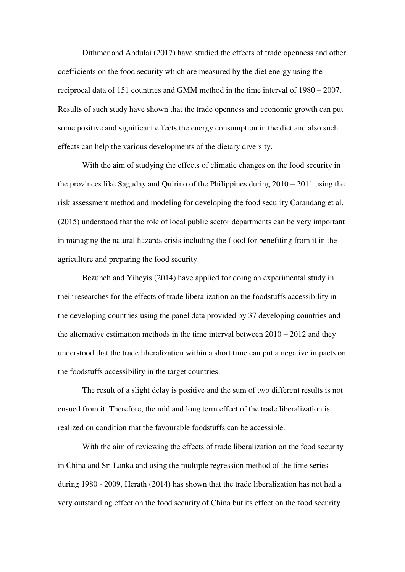Dithmer and Abdulai (2017) have studied the effects of trade openness and other coefficients on the food security which are measured by the diet energy using the reciprocal data of 151 countries and GMM method in the time interval of 1980 – 2007. Results of such study have shown that the trade openness and economic growth can put some positive and significant effects the energy consumption in the diet and also such effects can help the various developments of the dietary diversity.

With the aim of studying the effects of climatic changes on the food security in the provinces like Saguday and Quirino of the Philippines during 2010 – 2011 using the risk assessment method and modeling for developing the food security Carandang et al. (2015) understood that the role of local public sector departments can be very important in managing the natural hazards crisis including the flood for benefiting from it in the agriculture and preparing the food security.

Bezuneh and Yiheyis (2014) have applied for doing an experimental study in their researches for the effects of trade liberalization on the foodstuffs accessibility in the developing countries using the panel data provided by 37 developing countries and the alternative estimation methods in the time interval between  $2010 - 2012$  and they understood that the trade liberalization within a short time can put a negative impacts on the foodstuffs accessibility in the target countries.

The result of a slight delay is positive and the sum of two different results is not ensued from it. Therefore, the mid and long term effect of the trade liberalization is realized on condition that the favourable foodstuffs can be accessible.

With the aim of reviewing the effects of trade liberalization on the food security in China and Sri Lanka and using the multiple regression method of the time series during 1980 - 2009, Herath (2014) has shown that the trade liberalization has not had a very outstanding effect on the food security of China but its effect on the food security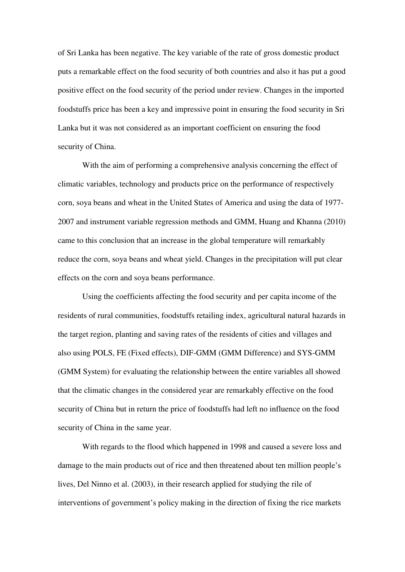of Sri Lanka has been negative. The key variable of the rate of gross domestic product puts a remarkable effect on the food security of both countries and also it has put a good positive effect on the food security of the period under review. Changes in the imported foodstuffs price has been a key and impressive point in ensuring the food security in Sri Lanka but it was not considered as an important coefficient on ensuring the food security of China.

With the aim of performing a comprehensive analysis concerning the effect of climatic variables, technology and products price on the performance of respectively corn, soya beans and wheat in the United States of America and using the data of 1977- 2007 and instrument variable regression methods and GMM, Huang and Khanna (2010) came to this conclusion that an increase in the global temperature will remarkably reduce the corn, soya beans and wheat yield. Changes in the precipitation will put clear effects on the corn and soya beans performance.

Using the coefficients affecting the food security and per capita income of the residents of rural communities, foodstuffs retailing index, agricultural natural hazards in the target region, planting and saving rates of the residents of cities and villages and also using POLS, FE (Fixed effects), DIF-GMM (GMM Difference) and SYS-GMM (GMM System) for evaluating the relationship between the entire variables all showed that the climatic changes in the considered year are remarkably effective on the food security of China but in return the price of foodstuffs had left no influence on the food security of China in the same year.

With regards to the flood which happened in 1998 and caused a severe loss and damage to the main products out of rice and then threatened about ten million people's lives, Del Ninno et al. (2003), in their research applied for studying the rile of interventions of government's policy making in the direction of fixing the rice markets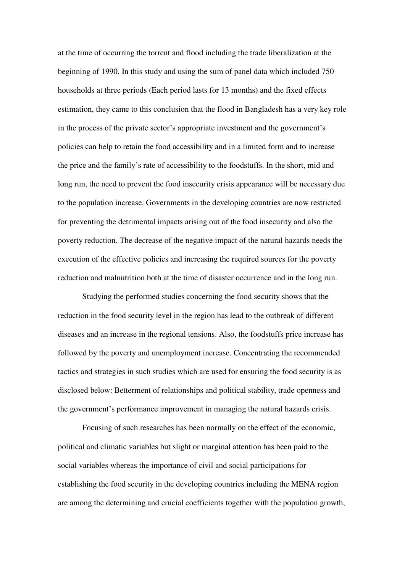at the time of occurring the torrent and flood including the trade liberalization at the beginning of 1990. In this study and using the sum of panel data which included 750 households at three periods (Each period lasts for 13 months) and the fixed effects estimation, they came to this conclusion that the flood in Bangladesh has a very key role in the process of the private sector's appropriate investment and the government's policies can help to retain the food accessibility and in a limited form and to increase the price and the family's rate of accessibility to the foodstuffs. In the short, mid and long run, the need to prevent the food insecurity crisis appearance will be necessary due to the population increase. Governments in the developing countries are now restricted for preventing the detrimental impacts arising out of the food insecurity and also the poverty reduction. The decrease of the negative impact of the natural hazards needs the execution of the effective policies and increasing the required sources for the poverty reduction and malnutrition both at the time of disaster occurrence and in the long run.

Studying the performed studies concerning the food security shows that the reduction in the food security level in the region has lead to the outbreak of different diseases and an increase in the regional tensions. Also, the foodstuffs price increase has followed by the poverty and unemployment increase. Concentrating the recommended tactics and strategies in such studies which are used for ensuring the food security is as disclosed below: Betterment of relationships and political stability, trade openness and the government's performance improvement in managing the natural hazards crisis.

Focusing of such researches has been normally on the effect of the economic, political and climatic variables but slight or marginal attention has been paid to the social variables whereas the importance of civil and social participations for establishing the food security in the developing countries including the MENA region are among the determining and crucial coefficients together with the population growth,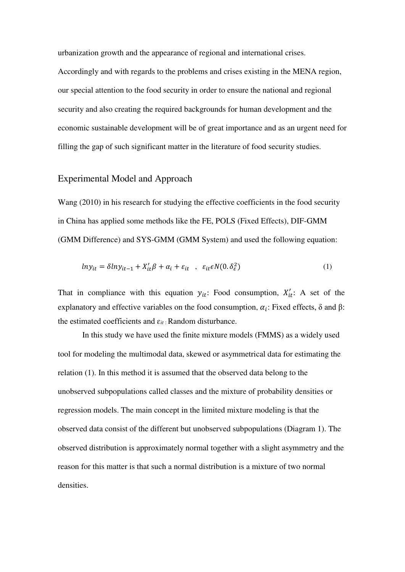urbanization growth and the appearance of regional and international crises. Accordingly and with regards to the problems and crises existing in the MENA region, our special attention to the food security in order to ensure the national and regional security and also creating the required backgrounds for human development and the economic sustainable development will be of great importance and as an urgent need for filling the gap of such significant matter in the literature of food security studies.

#### Experimental Model and Approach

Wang (2010) in his research for studying the effective coefficients in the food security in China has applied some methods like the FE, POLS (Fixed Effects), DIF-GMM (GMM Difference) and SYS-GMM (GMM System) and used the following equation:

$$
ln y_{it} = \delta ln y_{it-1} + X_{it}' \beta + \alpha_i + \varepsilon_{it} \quad , \quad \varepsilon_{it} \epsilon N(0. \delta_{\varepsilon}^2)
$$
 (1)

That in compliance with this equation  $y_{it}$ : Food consumption,  $X'_{it}$ : A set of the explanatory and effective variables on the food consumption,  $\alpha_i$ : Fixed effects,  $\delta$  and  $\beta$ : the estimated coefficients and ɛ*it* : Random disturbance.

In this study we have used the finite mixture models (FMMS) as a widely used tool for modeling the multimodal data, skewed or asymmetrical data for estimating the relation (1). In this method it is assumed that the observed data belong to the unobserved subpopulations called classes and the mixture of probability densities or regression models. The main concept in the limited mixture modeling is that the observed data consist of the different but unobserved subpopulations (Diagram 1). The observed distribution is approximately normal together with a slight asymmetry and the reason for this matter is that such a normal distribution is a mixture of two normal densities.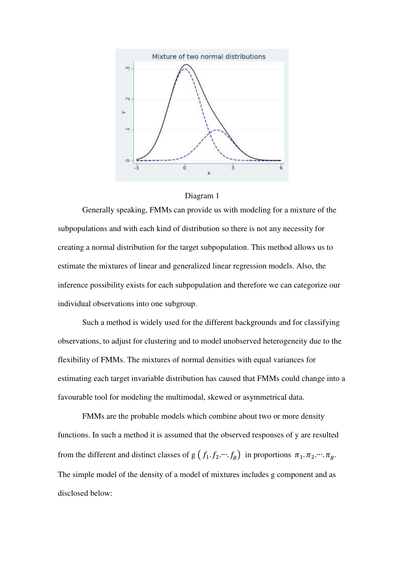



Generally speaking, FMMs can provide us with modeling for a mixture of the subpopulations and with each kind of distribution so there is not any necessity for creating a normal distribution for the target subpopulation. This method allows us to estimate the mixtures of linear and generalized linear regression models. Also, the inference possibility exists for each subpopulation and therefore we can categorize our individual observations into one subgroup.

Such a method is widely used for the different backgrounds and for classifying observations, to adjust for clustering and to model unobserved heterogeneity due to the flexibility of FMMs. The mixtures of normal densities with equal variances for estimating each target invariable distribution has caused that FMMs could change into a favourable tool for modeling the multimodal, skewed or asymmetrical data.

FMMs are the probable models which combine about two or more density functions. In such a method it is assumed that the observed responses of y are resulted from the different and distinct classes of g  $(f_1, f_2, \dots, f_g)$  in proportions  $\pi_1, \pi_2, \dots, \pi_g$ . The simple model of the density of a model of mixtures includes g component and as disclosed below: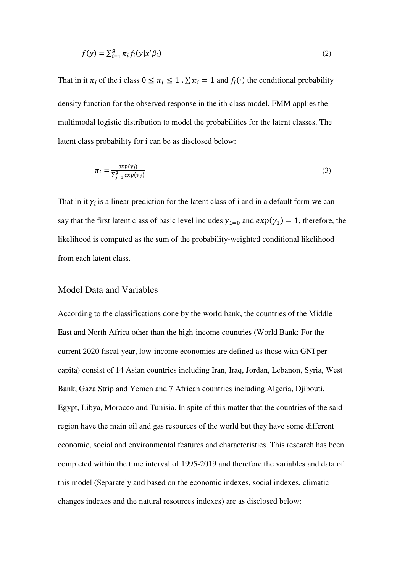$$
f(y) = \sum_{i=1}^{g} \pi_i f_i(y|x'\beta_i)
$$
 (2)

That in it  $\pi_i$  of the i class  $0 \leq \pi_i \leq 1$   $\sum \pi_i = 1$  and  $f_i(\cdot)$  the conditional probability density function for the observed response in the ith class model. FMM applies the multimodal logistic distribution to model the probabilities for the latent classes. The latent class probability for i can be as disclosed below:

$$
\pi_i = \frac{\exp(\gamma_i)}{\sum_{j=1}^g \exp(\gamma_j)}\tag{3}
$$

That in it  $\gamma_i$  is a linear prediction for the latent class of i and in a default form we can say that the first latent class of basic level includes  $\gamma_{1=0}$  and  $\exp(\gamma_1) = 1$ , therefore, the likelihood is computed as the sum of the probability-weighted conditional likelihood from each latent class.

#### Model Data and Variables

According to the classifications done by the world bank, the countries of the Middle East and North Africa other than the high-income countries (World Bank: For the current 2020 fiscal year, low-income economies are defined as those with GNI per capita) consist of 14 Asian countries including Iran, Iraq, Jordan, Lebanon, Syria, West Bank, Gaza Strip and Yemen and 7 African countries including Algeria, Djibouti, Egypt, Libya, Morocco and Tunisia. In spite of this matter that the countries of the said region have the main oil and gas resources of the world but they have some different economic, social and environmental features and characteristics. This research has been completed within the time interval of 1995-2019 and therefore the variables and data of this model (Separately and based on the economic indexes, social indexes, climatic changes indexes and the natural resources indexes) are as disclosed below: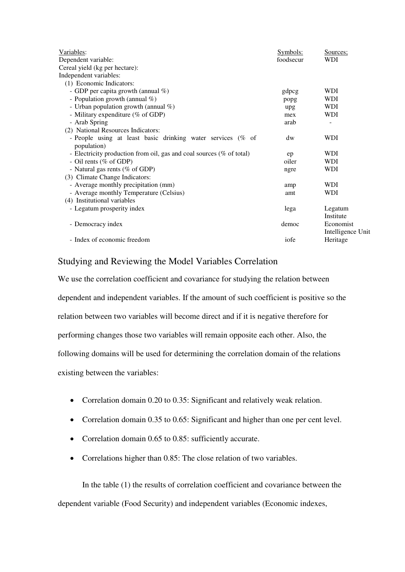| Variables:                                                                 | Symbols:  | Sources;                       |
|----------------------------------------------------------------------------|-----------|--------------------------------|
| Dependent variable:                                                        | foodsecur | <b>WDI</b>                     |
| Cereal yield (kg per hectare):                                             |           |                                |
| Independent variables:                                                     |           |                                |
| (1) Economic Indicators:                                                   |           |                                |
| - GDP per capita growth (annual $\%$ )                                     | gdpcg     | WDI                            |
| - Population growth (annual %)                                             | popg      | <b>WDI</b>                     |
| - Urban population growth (annual $\%$ )                                   | upg       | <b>WDI</b>                     |
| - Military expenditure (% of GDP)                                          | mex       | <b>WDI</b>                     |
| - Arab Spring                                                              | arab      |                                |
| (2) National Resources Indicators:                                         |           |                                |
| - People using at least basic drinking water services (% of<br>population) | dw        | <b>WDI</b>                     |
| - Electricity production from oil, gas and coal sources (% of total)       | ep        | <b>WDI</b>                     |
| - Oil rents (% of GDP)                                                     | oiler     | <b>WDI</b>                     |
| - Natural gas rents (% of GDP)                                             | ngre      | <b>WDI</b>                     |
| (3) Climate Change Indicators:                                             |           |                                |
| - Average monthly precipitation (mm)                                       | amp       | <b>WDI</b>                     |
| - Average monthly Temperature (Celsius)                                    | amt       | <b>WDI</b>                     |
| (4) Institutional variables                                                |           |                                |
| - Legatum prosperity index                                                 | lega      | Legatum<br>Institute           |
| - Democracy index                                                          | democ     | Economist<br>Intelligence Unit |
| - Index of economic freedom                                                | iofe      | Heritage                       |

### Studying and Reviewing the Model Variables Correlation

We use the correlation coefficient and covariance for studying the relation between dependent and independent variables. If the amount of such coefficient is positive so the relation between two variables will become direct and if it is negative therefore for performing changes those two variables will remain opposite each other. Also, the following domains will be used for determining the correlation domain of the relations existing between the variables:

- Correlation domain 0.20 to 0.35: Significant and relatively weak relation.
- Correlation domain 0.35 to 0.65: Significant and higher than one per cent level.
- Correlation domain 0.65 to 0.85: sufficiently accurate.
- Correlations higher than 0.85: The close relation of two variables.

In the table (1) the results of correlation coefficient and covariance between the dependent variable (Food Security) and independent variables (Economic indexes,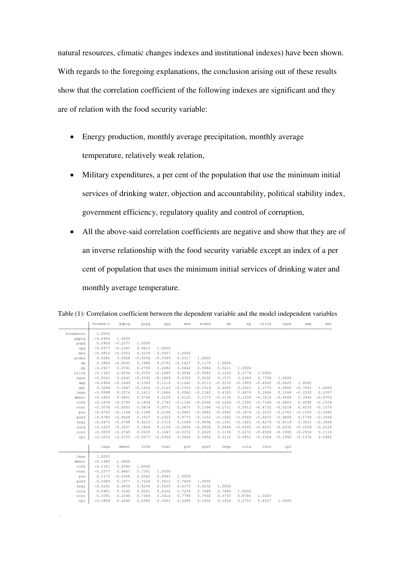natural resources, climatic changes indexes and institutional indexes) have been shown. With regards to the foregoing explanations, the conclusion arising out of these results show that the correlation coefficient of the following indexes are significant and they are of relation with the food security variable:

- Energy production, monthly average precipitation, monthly average temperature, relatively weak relation,
- Military expenditures, a per cent of the population that use the minimum initial services of drinking water, objection and accountability, political stability index, government efficiency, regulatory quality and control of corruption,
- All the above-said correlation coefficients are negative and show that they are of an inverse relationship with the food security variable except an index of a per cent of population that uses the minimum initial services of drinking water and monthly average temperature.

|           | foodse~r  | gdpcg     | popg      | upq       | mex       | arabs     | dw        | ep        | oilre     | ngre      | amp       | amt       |
|-----------|-----------|-----------|-----------|-----------|-----------|-----------|-----------|-----------|-----------|-----------|-----------|-----------|
| foodsecur | 1,0000    |           |           |           |           |           |           |           |           |           |           |           |
| qdpcq     | $-0.0956$ | 1,0000    |           |           |           |           |           |           |           |           |           |           |
| popq      | 0.0909    | $-0.2277$ | 1.0000    |           |           |           |           |           |           |           |           |           |
| upq       | $-0.0977$ | $-0.2381$ | 0.9613    | 1,0000    |           |           |           |           |           |           |           |           |
| mex       | $-0.4812$ | $-0.0353$ | 0.4109    | 0.5057    | 1,0000    |           |           |           |           |           |           |           |
| arabs     | 0.0086    | 0.0008    | $-0.0056$ | $-0.0389$ | 0.0317    | 1,0000    |           |           |           |           |           |           |
| dw        | 0.3860    | $-0.0041$ | 0.1986    | 0.0792    | $-0.1427$ | 0.1179    | 1.0000    |           |           |           |           |           |
| ep        | $-0.2917$ | 0.0741    | 0.2700    | 0.2682    | 0.4642    | 0.0684    | 0.5411    | 1,0000    |           |           |           |           |
| oilre     | $-0.1325$ | 0.6036    | $-0.3150$ | $-0.2485$ | 0.0046    | $-0.0082$ | 0.1263    | 0.2774    | 1,0000    |           |           |           |
| ngre      | $-0.0061$ | 0.0441    | $-0.2592$ | $-0.1809$ | 0.0355    | 0.0200    | 0.1571    | 0.2349    | 0.7758    | 1,0000    |           |           |
| amp       | $-0.2484$ | $-0.1649$ | 0.1343    | 0.1116    | 0.1242    | 0.0113    | $-0.5170$ | $-0.1909$ | $-0.4000$ | $-0.4625$ | 1,0000    |           |
| amt       | 0.3284    | 0.1647    | $-0.1924$ | $-0.2103$ | $-0.1353$ | $-0.1019$ | 0.4005    | 0.2022    | 0.3770    | 0.4900    | $-0.7691$ | 1,0000    |
| lega      | $-0.0898$ | 0.2074    | 0.1613    | 0.1466    | 0.0062    | $-0.1142$ | 0.4183    | 0.4674    | 0.2606    | 0.1268    | $-0.2250$ | 0.0357    |
| democ     | $-0.1893$ | 0.0801    | 0.0766    | 0.0129    | 0.0120    | 0.1373    | $-0.1134$ | 0.1150    | $-0.3516$ | $-0.4569$ | 0.3945    | $-0.0700$ |
| iofe      | $-0.1838$ | $-0.2795$ | 0.1824    | 0.1745    | $-0.1160$ | $-0.0392$ | $-0.1249$ | $-0.1093$ | $-0.7166$ | $-0.6803$ | 0.2092    | $-0.1509$ |
| voac      | $-0.3078$ | $-0.0563$ | 0.0874    | 0.0571    | 0.0875    | 0.1594    | $-0.1711$ | 0.0912    | $-0.4732$ | $-0.5218$ | 0.4535    | $-0.1579$ |
| pos       | $-0.4765$ | $-0.1164$ | $-0.1188$ | 0.0196    | 0.0461    | $-0.0885$ | $-0.2583$ | $-0.1874$ | $-0.3033$ | $-0.2763$ | $-0.1555$ | $-0.0480$ |
| qoef      | $-0.4785$ | $-0.4428$ | 0.1527    | 0.2323    | 0.0773    | $-0.1253$ | $-0.1462$ | $-0.0068$ | $-0.6033$ | $-0.4806$ | 0.1758    | $-0.3584$ |
| requ      | $-0.0475$ | $-0.2748$ | 0.4215    | 0.3716    | 0.1046    | $-0.0896$ | $-0.1361$ | $-0.1403$ | $-0.8279$ | $-0.8119$ | 0.3551    | $-0.3468$ |
| rula      | $-0.1655$ | $-0.2027$ | 0.1864    | 0.2156    | $-0.0606$ | $-0.0836$ | 0.0944    | $-0.0545$ | $-0.6031$ | $-0.5935$ | $-0.1054$ | $-0.0120$ |
| coco      | $-0.3059$ | $-0.2745$ | 0.0635    | 0.1247    | $-0.0372$ | 0.0226    | 0.1136    | 0.0272    | $-0.4569$ | $-0.3385$ | $-0.2504$ | 0.1114    |
| cpi       | $-0.1014$ | $-0.0725$ | $-0.0077$ | $-0.0369$ | 0.0640    | 0.5956    | 0.2115    | 0.0801    | $-0.2504$ | $-0.1950$ | $-0.1376$ | 0.0482    |
|           | lega      | democ     | iofe      | voac      | pos       | qoef      | requ      | rula      | coco      | cpi       |           |           |
| lega      | 1,0000    |           |           |           |           |           |           |           |           |           |           |           |
| democ     | $-0.1940$ | 1,0000    |           |           |           |           |           |           |           |           |           |           |
| iofe      | $-0.1181$ | 0.6385    | 1.0000    |           |           |           |           |           |           |           |           |           |
| voac      | $-0.2577$ | 0.9467    | 0.7301    | 1,0000    |           |           |           |           |           |           |           |           |
| pos       | 0.1175    | $-0.0368$ | 0.5042    | 0.0993    | 1,0000    |           |           |           |           |           |           |           |
| qoef      | 0.1089    | 0.1977    | 0.7226    | 0.3512    | 0.7669    | 1,0000    |           |           |           |           |           |           |
| requ      | $-0.0291$ | 0.4856    | 0.8295    | 0.5650    | 0.4370    | 0.6532    | 1.0000    |           |           |           |           |           |
| rula      | 0.0901    | 0.3240    | 0.8501    | 0.4326    | 0.7235    | 0.7688    | 0.7684    | 1.0000    |           |           |           |           |
| $\csc$    | 0.1091    | 0.2346    | 0.7368    | 0.3610    | 0.7795    | 0.7692    | 0.5703    | 0.8780    | 1,0000    |           |           |           |
| cpi       | $-0.1849$ | 0.2045    | 0.2580    | 0.3051    | 0.2085    | 0.1832    | 0.1454    | 0.2755    | 0.4227    | 1,0000    |           |           |

.

Table (1): Correlation coefficient between the dependent variable and the model independent variables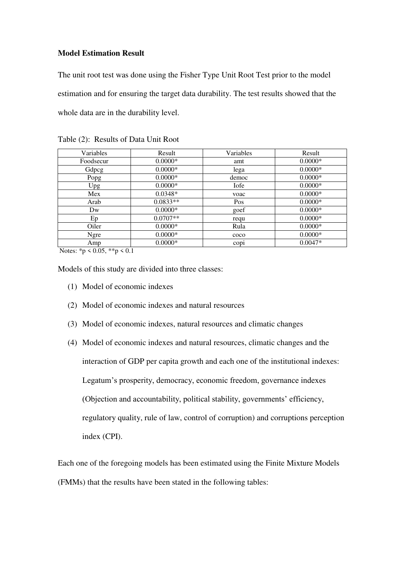#### **Model Estimation Result**

The unit root test was done using the Fisher Type Unit Root Test prior to the model estimation and for ensuring the target data durability. The test results showed that the whole data are in the durability level.

| Variables | Result     | Variables      | Result    |
|-----------|------------|----------------|-----------|
| Foodsecur | $0.0000*$  | amt            | $0.0000*$ |
| Gdpcg     | $0.0000*$  | lega           | $0.0000*$ |
| Popg      | $0.0000*$  | democ          | $0.0000*$ |
| Upg       | $0.0000*$  | Iofe           | $0.0000*$ |
| Mex       | $0.0348*$  | voac           | $0.0000*$ |
| Arab      | $0.0833**$ | Pos            | $0.0000*$ |
| Dw        | $0.0000*$  | goef           | $0.0000*$ |
| Ep        | $0.0707**$ | requ           | $0.0000*$ |
| Oiler     | $0.0000*$  | Rula           | $0.0000*$ |
| Ngre      | $0.0000*$  | c <sub>0</sub> | $0.0000*$ |
| Amp       | $0.0000*$  | $\rm{cop}i$    | $0.0047*$ |

Table (2): Results of Data Unit Root

Notes: \*p < 0.05, \*\*p < 0.1

Models of this study are divided into three classes:

- (1) Model of economic indexes
- (2) Model of economic indexes and natural resources
- (3) Model of economic indexes, natural resources and climatic changes
- (4) Model of economic indexes and natural resources, climatic changes and the interaction of GDP per capita growth and each one of the institutional indexes: Legatum's prosperity, democracy, economic freedom, governance indexes (Objection and accountability, political stability, governments' efficiency, regulatory quality, rule of law, control of corruption) and corruptions perception index (CPI).

Each one of the foregoing models has been estimated using the Finite Mixture Models (FMMs) that the results have been stated in the following tables: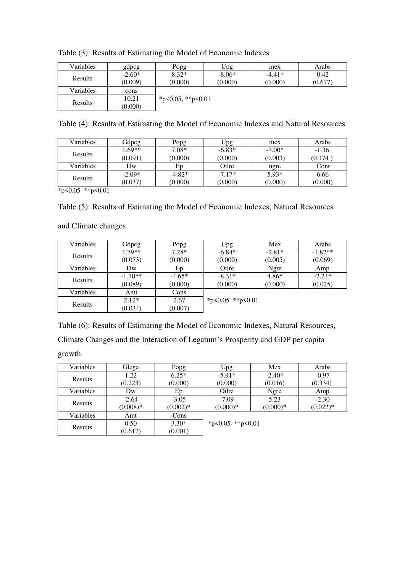| Variables      | gdpcg               | Popg                             | Upg                 | mex                 | Arabs           |
|----------------|---------------------|----------------------------------|---------------------|---------------------|-----------------|
| <b>Results</b> | $-2.60*$<br>(0.009) | $8.32*$<br>(0.000)               | $-8.06*$<br>(0.000) | $-4.41*$<br>(0.000) | 0.42<br>(0.677) |
| Variables      | cons                |                                  |                     |                     |                 |
| <b>Results</b> | 10.21<br>(0.000)    | * $p \le 0.05$ , ** $p \le 0.01$ |                     |                     |                 |

| Table (4): Results of Estimating the Model of Economic Indexes and Natural Resources |
|--------------------------------------------------------------------------------------|
|--------------------------------------------------------------------------------------|

| Variables | Gdpcg    | Popg     | Upg      | mex      | Arabs   |
|-----------|----------|----------|----------|----------|---------|
| Results   | $1.69**$ | 7.08*    | $-6.83*$ | $-3.00*$ | $-1.36$ |
|           | (0.091)  | (0.000)  | (0.000)  | (0.003)  | (0.174) |
| Variables | Dw       | Ep       | Oilre    | ngre     | Cons    |
| Results   | $-2.09*$ | $-4.82*$ | $-7.17*$ | $5.93*$  | 6.66    |
|           | (0.037)  | (0.000)  | (0.000)  | (0.000)  | (0.000) |

 $*p<0.05$  \*\*p<0.01

## Table (5): Results of Estimating the Model of Economic Indexes, Natural Resources

and Climate changes

| Variables      | Gdpcg     | Popg     | Upg              | Mex      | Arabs     |
|----------------|-----------|----------|------------------|----------|-----------|
|                | $1.79**$  | $7.28*$  | $-6.84*$         | $-2.81*$ | $-1.82**$ |
| Results        | (0.073)   | (0.000)  | (0.000)          | (0.005)  | (0.069)   |
| Variables      | Dw        | Ep       | Oilre            | Ngre     | Amp       |
| Results        | $-1.70**$ | $-4.65*$ | $-8.31*$         | $4.86*$  | $-2.24*$  |
|                | (0.089)   | (0.000)  | (0.000)          | (0.000)  | (0.025)   |
| Variables      | Amt       | Cons     |                  |          |           |
| <b>Results</b> | $2.12*$   | 2.67     | *p<0.05 **p<0.01 |          |           |
|                | (0.034)   | (0.007)  |                  |          |           |

Table (6): Results of Estimating the Model of Economic Indexes, Natural Resources,

Climate Changes and the Interaction of Legatum's Prosperity and GDP per capita growth

| Variables | Glega      | Popg       | Upg                    | Mex        | Arabs      |
|-----------|------------|------------|------------------------|------------|------------|
| Results   | 1.22       | $6.25*$    | $-5.91*$               | $-2.40*$   | $-0.97$    |
|           | (0.223)    | (0.000)    | (0.000)                | (0.016)    | (0.334)    |
| Variables | Dw         | Ep         | Oilre                  | Ngre       | Amp        |
| Results   | $-2.64$    | $-3.05$    | $-7.09$                | 5.23       | $-2.30$    |
|           | $(0.008)*$ | $(0.002)*$ | $(0.000)*$             | $(0.000)*$ | $(0.022)*$ |
| Variables | Amt        | Cons       |                        |            |            |
| Results   | 0.50       | $3.30*$    | * $p<0.05$ ** $p<0.01$ |            |            |
|           | (0.617)    | (0.001)    |                        |            |            |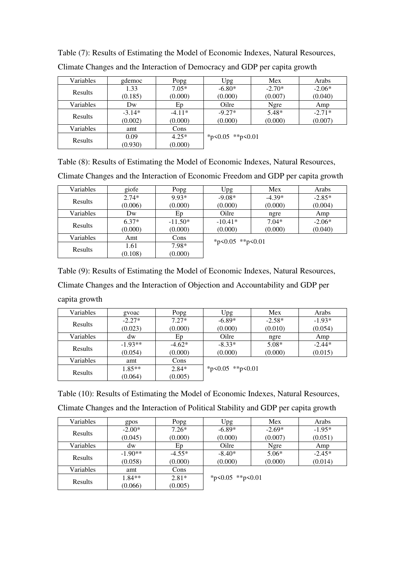| Variables      | gdemoc   | Popg     | Upg                    | Mex      | Arabs    |
|----------------|----------|----------|------------------------|----------|----------|
| <b>Results</b> | 1.33     | $7.05*$  | $-6.80*$               | $-2.70*$ | $-2.06*$ |
|                | (0.185)  | (0.000)  | (0.000)                | (0.007)  | (0.040)  |
| Variables      | Dw       | Ep       | Oilre                  | Ngre     | Amp      |
| Results        | $-3.14*$ | $-4.11*$ | $-9.27*$               | $5.48*$  | $-2.71*$ |
|                | (0.002)  | (0.000)  | (0.000)                | (0.000)  | (0.007)  |
| Variables      | amt      | Cons     |                        |          |          |
| Results        | 0.09     | $4.25*$  | * $p<0.05$ ** $p<0.01$ |          |          |
|                | (0.930)  | (0.000)  |                        |          |          |

| Table (7): Results of Estimating the Model of Economic Indexes, Natural Resources, |  |
|------------------------------------------------------------------------------------|--|
|------------------------------------------------------------------------------------|--|

|  | Climate Changes and the Interaction of Democracy and GDP per capita growth |  |  |
|--|----------------------------------------------------------------------------|--|--|
|--|----------------------------------------------------------------------------|--|--|

Table (8): Results of Estimating the Model of Economic Indexes, Natural Resources,

Climate Changes and the Interaction of Economic Freedom and GDP per capita growth

| Variables | giofe   | Popg      | Upg              | Mex      | Arabs    |  |
|-----------|---------|-----------|------------------|----------|----------|--|
| Results   | $2.74*$ | 9.93*     | $-9.08*$         | $-4.39*$ | $-2.85*$ |  |
|           | (0.006) | (0.000)   | (0.000)          | (0.000)  | (0.004)  |  |
| Variables | Dw      | Ep        | Oilre            | ngre     | Amp      |  |
| Results   | $6.37*$ | $-11.50*$ | $-10.41*$        | $7.04*$  | $-2.06*$ |  |
|           | (0.000) | (0.000)   | (0.000)          | (0.000)  | (0.040)  |  |
| Variables | Amt     | Cons      | *p<0.05 **p<0.01 |          |          |  |
| Results   | 1.61    | 7.98*     |                  |          |          |  |
|           | (0.108) | (0.000)   |                  |          |          |  |

Table (9): Results of Estimating the Model of Economic Indexes, Natural Resources, Climate Changes and the Interaction of Objection and Accountability and GDP per

capita growth

| Variables | gvoac     | Popg     | Upg              | Mex      | Arabs    |
|-----------|-----------|----------|------------------|----------|----------|
| Results   | $-2.27*$  | $7.27*$  | $-6.89*$         | $-2.58*$ | $-1.93*$ |
|           | (0.023)   | (0.000)  | (0.000)          | (0.010)  | (0.054)  |
| Variables | dw        | Ep       | Oilre            | ngre     | Amp      |
| Results   | $-1.93**$ | $-4.62*$ | $-8.33*$         | $5.08*$  | $-2.44*$ |
|           | (0.054)   | (0.000)  | (0.000)          | (0.000)  | (0.015)  |
| Variables | amt       | Cons     |                  |          |          |
| Results   | $1.85**$  | $2.84*$  | *p<0.05 **p<0.01 |          |          |
|           | (0.064)   | (0.005)  |                  |          |          |

Table (10): Results of Estimating the Model of Economic Indexes, Natural Resources, Climate Changes and the Interaction of Political Stability and GDP per capita growth

| Variables | gpos      | Popg     | Upg              | Mex      | Arabs    |
|-----------|-----------|----------|------------------|----------|----------|
|           | $-2.00*$  | $7.26*$  | $-6.89*$         | $-2.69*$ | $-1.95*$ |
| Results   | (0.045)   | (0.000)  | (0.000)          | (0.007)  | (0.051)  |
| Variables | dw        | Ep       | Oilre            | Ngre     | Amp      |
| Results   | $-1.90**$ | $-4.55*$ | $-8.40*$         | $5.06*$  | $-2.45*$ |
|           | (0.058)   | (0.000)  | (0.000)          | (0.000)  | (0.014)  |
| Variables | amt       | Cons     |                  |          |          |
| Results   | $1.84**$  | $2.81*$  | *p<0.05 **p<0.01 |          |          |
|           | (0.066)   | (0.005)  |                  |          |          |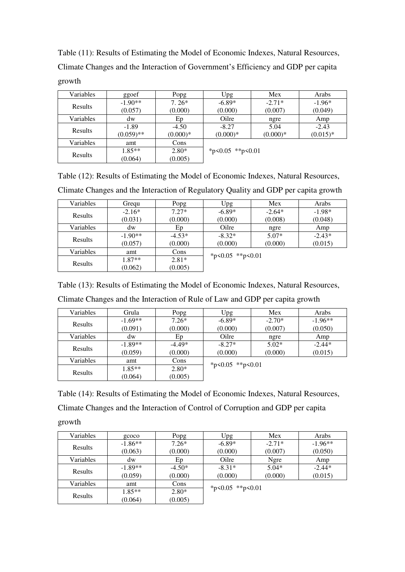Table (11): Results of Estimating the Model of Economic Indexes, Natural Resources, Climate Changes and the Interaction of Government's Efficiency and GDP per capita growth

| Variables | ggoef        | Popg       | Upg              | Mex        | Arabs      |
|-----------|--------------|------------|------------------|------------|------------|
| Results   | $-1.90**$    | $7.26*$    | $-6.89*$         | $-2.71*$   | $-1.96*$   |
|           | (0.057)      | (0.000)    | (0.000)          | (0.007)    | (0.049)    |
| Variables | dw           | Ep         | Oilre            | ngre       | Amp        |
| Results   | $-1.89$      | $-4.50$    | $-8.27$          | 5.04       | $-2.43$    |
|           | $(0.059)$ ** | $(0.000)*$ | $(0.000)*$       | $(0.000)*$ | $(0.015)*$ |
| Variables | amt          | Cons       |                  |            |            |
|           | $1.85**$     | $2.80*$    | *p<0.05 **p<0.01 |            |            |
| Results   | (0.064)      | (0.005)    |                  |            |            |

Table (12): Results of Estimating the Model of Economic Indexes, Natural Resources, Climate Changes and the Interaction of Regulatory Quality and GDP per capita growth

| Variables | Gregu     | Popg     | Upg                    | Mex      | Arabs    |
|-----------|-----------|----------|------------------------|----------|----------|
|           | $-2.16*$  | $7.27*$  | $-6.89*$               | $-2.64*$ | $-1.98*$ |
| Results   | (0.031)   | (0.000)  | (0.000)                | (0.008)  | (0.048)  |
| Variables | dw        | Ep       | Oilre                  | ngre     | Amp      |
|           | $-1.90**$ | $-4.53*$ | $-8.32*$               | $5.07*$  | $-2.43*$ |
| Results   | (0.057)   | (0.000)  | (0.000)                | (0.000)  | (0.015)  |
| Variables | amt       | Cons     | * $p<0.05$ ** $p<0.01$ |          |          |
| Results   | $1.87**$  | $2.81*$  |                        |          |          |
|           | (0.062)   | (0.005)  |                        |          |          |

Table (13): Results of Estimating the Model of Economic Indexes, Natural Resources, Climate Changes and the Interaction of Rule of Law and GDP per capita growth

| -              |                    |         |        | $\sim$<br>$\sim$<br>_ |                 |
|----------------|--------------------|---------|--------|-----------------------|-----------------|
| /ariables      | frula              | opg/    | ∣pg    | Mex                   | Arabs           |
| <b>Results</b> | $60**$<br>-<br>1.V | $7.26*$ | -6.89* | $2.70*$<br>- -        | $4.96**$<br>- 1 |

| Variables | Grula     | Popg     | Upg              | Mex      | Arabs     |
|-----------|-----------|----------|------------------|----------|-----------|
|           | $-1.69**$ | $7.26*$  | $-6.89*$         | $-2.70*$ | $-1.96**$ |
| Results   | (0.091)   | (0.000)  | (0.000)          | (0.007)  | (0.050)   |
| Variables | dw        | Ep       | Oilre            | ngre     | Amp       |
|           | $-1.89**$ | $-4.49*$ | $-8.27*$         | $5.02*$  | $-2.44*$  |
| Results   | (0.059)   | (0.000)  | (0.000)          | (0.000)  | (0.015)   |
| Variables | amt       | Cons     | *p<0.05 **p<0.01 |          |           |
| Results   | $1.85**$  | $2.80*$  |                  |          |           |
|           | (0.064)   | (0.005)  |                  |          |           |

Table (14): Results of Estimating the Model of Economic Indexes, Natural Resources, Climate Changes and the Interaction of Control of Corruption and GDP per capita growth

| Variables | gcoco     | Popg     | Upg              | Mex      | Arabs     |
|-----------|-----------|----------|------------------|----------|-----------|
|           | $-1.86**$ | $7.26*$  | $-6.89*$         | $-2.71*$ | $-1.96**$ |
| Results   | (0.063)   | (0.000)  | (0.000)          | (0.007)  | (0.050)   |
| Variables | dw        | Ep       | Oilre            | Ngre     | Amp       |
|           | $-1.89**$ | $-4.50*$ | $-8.31*$         | $5.04*$  | $-2.44*$  |
| Results   | (0.059)   | (0.000)  | (0.000)          | (0.000)  | (0.015)   |
| Variables | amt       | Cons     | *p<0.05 **p<0.01 |          |           |
|           | $1.85**$  | $2.80*$  |                  |          |           |
| Results   | (0.064)   | (0.005)  |                  |          |           |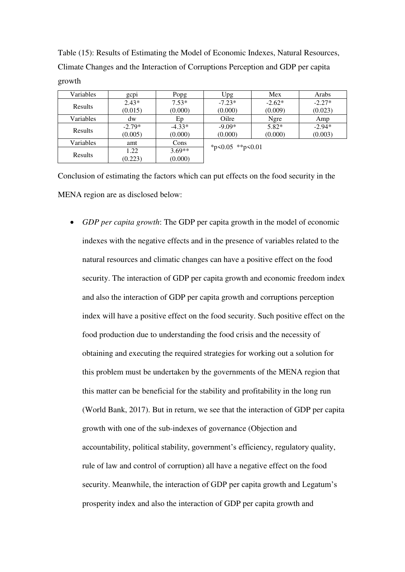Table (15): Results of Estimating the Model of Economic Indexes, Natural Resources, Climate Changes and the Interaction of Corruptions Perception and GDP per capita growth

| Variables | gcp1     | Popg     | Upg.             | Mex      | Arabs    |
|-----------|----------|----------|------------------|----------|----------|
|           | $2.43*$  | $7.53*$  | $-7.23*$         | $-2.62*$ | $-2.27*$ |
| Results   | (0.015)  | (0.000)  | (0.000)          | (0.009)  | (0.023)  |
| Variables | dw       | Ep       | Oilre            | Ngre     | Amp      |
|           | $-2.79*$ | $-4.33*$ | $-9.09*$         | $5.82*$  | $-2.94*$ |
| Results   | (0.005)  | (0.000)  | (0.000)          | (0.000)  | (0.003)  |
| Variables | amt      | Cons     | *p<0.05 **p<0.01 |          |          |
| Results   | 1.22     | $3.69**$ |                  |          |          |
|           | (0.223)  | (0.000)  |                  |          |          |

Conclusion of estimating the factors which can put effects on the food security in the MENA region are as disclosed below:

 *GDP per capita growth*: The GDP per capita growth in the model of economic indexes with the negative effects and in the presence of variables related to the natural resources and climatic changes can have a positive effect on the food security. The interaction of GDP per capita growth and economic freedom index and also the interaction of GDP per capita growth and corruptions perception index will have a positive effect on the food security. Such positive effect on the food production due to understanding the food crisis and the necessity of obtaining and executing the required strategies for working out a solution for this problem must be undertaken by the governments of the MENA region that this matter can be beneficial for the stability and profitability in the long run (World Bank, 2017). But in return, we see that the interaction of GDP per capita growth with one of the sub-indexes of governance (Objection and accountability, political stability, government's efficiency, regulatory quality, rule of law and control of corruption) all have a negative effect on the food security. Meanwhile, the interaction of GDP per capita growth and Legatum's prosperity index and also the interaction of GDP per capita growth and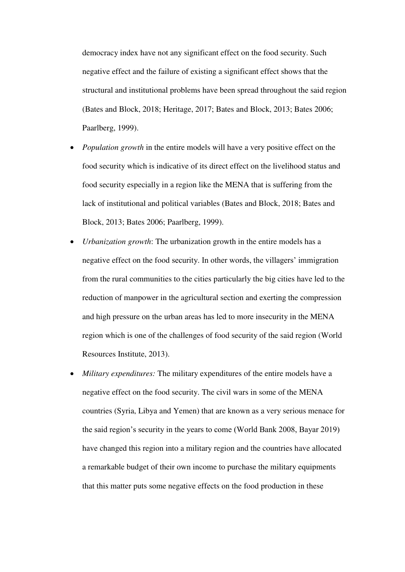democracy index have not any significant effect on the food security. Such negative effect and the failure of existing a significant effect shows that the structural and institutional problems have been spread throughout the said region (Bates and Block, 2018; Heritage, 2017; Bates and Block, 2013; Bates 2006; Paarlberg, 1999).

- *Population growth* in the entire models will have a very positive effect on the food security which is indicative of its direct effect on the livelihood status and food security especially in a region like the MENA that is suffering from the lack of institutional and political variables (Bates and Block, 2018; Bates and Block, 2013; Bates 2006; Paarlberg, 1999).
- *Urbanization growth*: The urbanization growth in the entire models has a negative effect on the food security. In other words, the villagers' immigration from the rural communities to the cities particularly the big cities have led to the reduction of manpower in the agricultural section and exerting the compression and high pressure on the urban areas has led to more insecurity in the MENA region which is one of the challenges of food security of the said region (World Resources Institute, 2013).
- *Military expenditures:* The military expenditures of the entire models have a negative effect on the food security. The civil wars in some of the MENA countries (Syria, Libya and Yemen) that are known as a very serious menace for the said region's security in the years to come (World Bank 2008, Bayar 2019) have changed this region into a military region and the countries have allocated a remarkable budget of their own income to purchase the military equipments that this matter puts some negative effects on the food production in these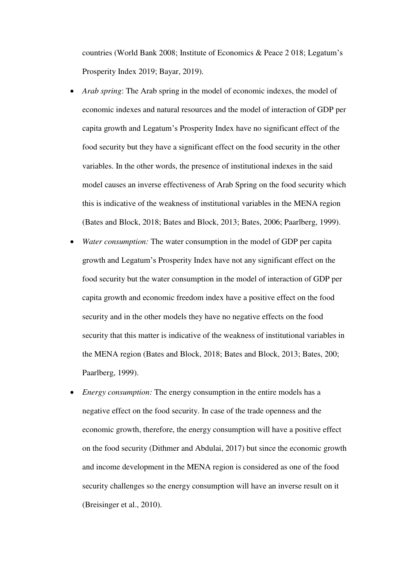countries (World Bank 2008; Institute of Economics & Peace 2 018; Legatum's Prosperity Index 2019; Bayar, 2019).

- *Arab spring*: The Arab spring in the model of economic indexes, the model of economic indexes and natural resources and the model of interaction of GDP per capita growth and Legatum's Prosperity Index have no significant effect of the food security but they have a significant effect on the food security in the other variables. In the other words, the presence of institutional indexes in the said model causes an inverse effectiveness of Arab Spring on the food security which this is indicative of the weakness of institutional variables in the MENA region (Bates and Block, 2018; Bates and Block, 2013; Bates, 2006; Paarlberg, 1999).
- *Water consumption:* The water consumption in the model of GDP per capita growth and Legatum's Prosperity Index have not any significant effect on the food security but the water consumption in the model of interaction of GDP per capita growth and economic freedom index have a positive effect on the food security and in the other models they have no negative effects on the food security that this matter is indicative of the weakness of institutional variables in the MENA region (Bates and Block, 2018; Bates and Block, 2013; Bates, 200; Paarlberg, 1999).
- *Energy consumption:* The energy consumption in the entire models has a negative effect on the food security. In case of the trade openness and the economic growth, therefore, the energy consumption will have a positive effect on the food security (Dithmer and Abdulai, 2017) but since the economic growth and income development in the MENA region is considered as one of the food security challenges so the energy consumption will have an inverse result on it (Breisinger et al., 2010).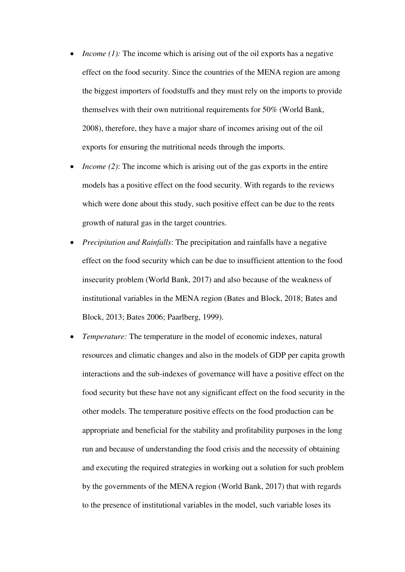- *Income (1):* The income which is arising out of the oil exports has a negative effect on the food security. Since the countries of the MENA region are among the biggest importers of foodstuffs and they must rely on the imports to provide themselves with their own nutritional requirements for 50% (World Bank, 2008), therefore, they have a major share of incomes arising out of the oil exports for ensuring the nutritional needs through the imports.
- *Income (2)*: The income which is arising out of the gas exports in the entire models has a positive effect on the food security. With regards to the reviews which were done about this study, such positive effect can be due to the rents growth of natural gas in the target countries.
- *Precipitation and Rainfalls*: The precipitation and rainfalls have a negative effect on the food security which can be due to insufficient attention to the food insecurity problem (World Bank, 2017) and also because of the weakness of institutional variables in the MENA region (Bates and Block, 2018; Bates and Block, 2013; Bates 2006; Paarlberg, 1999).
- *Temperature:* The temperature in the model of economic indexes, natural resources and climatic changes and also in the models of GDP per capita growth interactions and the sub-indexes of governance will have a positive effect on the food security but these have not any significant effect on the food security in the other models. The temperature positive effects on the food production can be appropriate and beneficial for the stability and profitability purposes in the long run and because of understanding the food crisis and the necessity of obtaining and executing the required strategies in working out a solution for such problem by the governments of the MENA region (World Bank, 2017) that with regards to the presence of institutional variables in the model, such variable loses its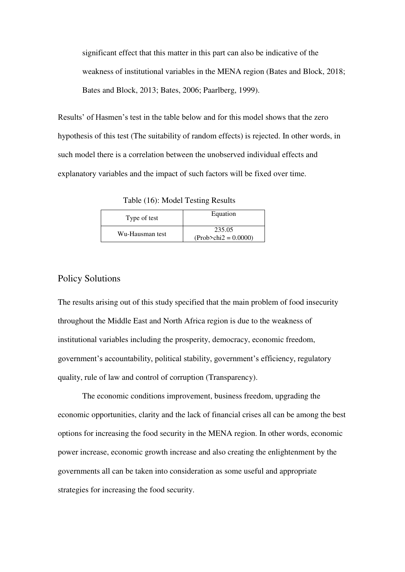significant effect that this matter in this part can also be indicative of the weakness of institutional variables in the MENA region (Bates and Block, 2018; Bates and Block, 2013; Bates, 2006; Paarlberg, 1999).

Results' of Hasmen's test in the table below and for this model shows that the zero hypothesis of this test (The suitability of random effects) is rejected. In other words, in such model there is a correlation between the unobserved individual effects and explanatory variables and the impact of such factors will be fixed over time.

Table (16): Model Testing Results

| Type of test    | Equation                           |
|-----------------|------------------------------------|
| Wu-Hausman test | 235.05<br>$(Prob > chi2 = 0.0000)$ |

#### Policy Solutions

The results arising out of this study specified that the main problem of food insecurity throughout the Middle East and North Africa region is due to the weakness of institutional variables including the prosperity, democracy, economic freedom, government's accountability, political stability, government's efficiency, regulatory quality, rule of law and control of corruption (Transparency).

The economic conditions improvement, business freedom, upgrading the economic opportunities, clarity and the lack of financial crises all can be among the best options for increasing the food security in the MENA region. In other words, economic power increase, economic growth increase and also creating the enlightenment by the governments all can be taken into consideration as some useful and appropriate strategies for increasing the food security.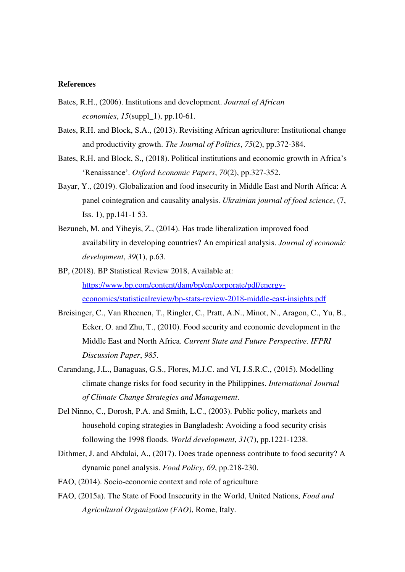#### **References**

- Bates, R.H., (2006). Institutions and development. *Journal of African economies*, *15*(suppl\_1), pp.10-61.
- Bates, R.H. and Block, S.A., (2013). Revisiting African agriculture: Institutional change and productivity growth. *The Journal of Politics*, *75*(2), pp.372-384.
- Bates, R.H. and Block, S., (2018). Political institutions and economic growth in Africa's 'Renaissance'. *Oxford Economic Papers*, *70*(2), pp.327-352.
- Bayar, Y., (2019). Globalization and food insecurity in Middle East and North Africa: A panel cointegration and causality analysis. *Ukrainian journal of food science*, (7, Iss. 1), pp.141-1 53.
- Bezuneh, M. and Yiheyis, Z., (2014). Has trade liberalization improved food availability in developing countries? An empirical analysis. *Journal of economic development*, *39*(1), p.63.
- BP, (2018). BP Statistical Review 2018, Available at: [https://www.bp.com/content/dam/bp/en/corporate/pdf/energy](https://www.bp.com/content/dam/bp/en/corporate/pdf/energy-economics/statisticalreview/bp-stats-review-2018-middle-east-insights.pdf)[economics/statisticalreview/bp-stats-review-2018-middle-east-insights.pdf](https://www.bp.com/content/dam/bp/en/corporate/pdf/energy-economics/statisticalreview/bp-stats-review-2018-middle-east-insights.pdf)
- Breisinger, C., Van Rheenen, T., Ringler, C., Pratt, A.N., Minot, N., Aragon, C., Yu, B., Ecker, O. and Zhu, T., (2010). Food security and economic development in the Middle East and North Africa. *Current State and Future Perspective. IFPRI Discussion Paper*, *985*.
- Carandang, J.L., Banaguas, G.S., Flores, M.J.C. and VI, J.S.R.C., (2015). Modelling climate change risks for food security in the Philippines. *International Journal of Climate Change Strategies and Management*.
- Del Ninno, C., Dorosh, P.A. and Smith, L.C., (2003). Public policy, markets and household coping strategies in Bangladesh: Avoiding a food security crisis following the 1998 floods. *World development*, *31*(7), pp.1221-1238.
- Dithmer, J. and Abdulai, A., (2017). Does trade openness contribute to food security? A dynamic panel analysis. *Food Policy*, *69*, pp.218-230.
- FAO, (2014). Socio-economic context and role of agriculture
- FAO, (2015a). The State of Food Insecurity in the World, United Nations, *Food and Agricultural Organization (FAO)*, Rome, Italy.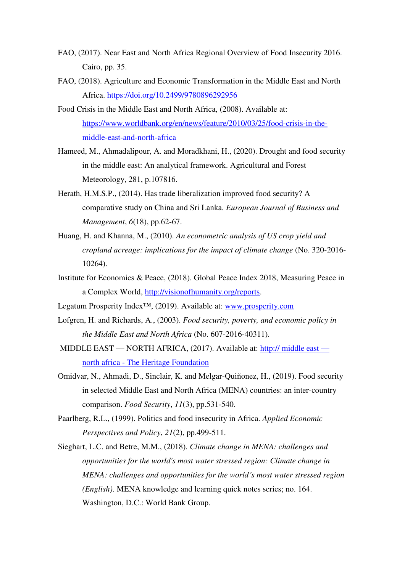- FAO, (2017). Near East and North Africa Regional Overview of Food Insecurity 2016. Cairo, pp. 35.
- FAO, (2018). Agriculture and Economic Transformation in the Middle East and North Africa. https://doi.org/10.2499/9780896292956
- Food Crisis in the Middle East and North Africa, (2008). Available at: [https://www.worldbank.org/en/news/feature/2010/03/25/food-crisis-in-the](https://www.worldbank.org/en/news/feature/2010/03/25/food-crisis-in-the-middle-east-and-north-africa)[middle-east-and-north-africa](https://www.worldbank.org/en/news/feature/2010/03/25/food-crisis-in-the-middle-east-and-north-africa)
- Hameed, M., Ahmadalipour, A. and Moradkhani, H., (2020). Drought and food security in the middle east: An analytical framework. Agricultural and Forest Meteorology, 281, p.107816.
- Herath, H.M.S.P., (2014). Has trade liberalization improved food security? A comparative study on China and Sri Lanka. *European Journal of Business and Management*, *6*(18), pp.62-67.
- Huang, H. and Khanna, M., (2010). *An econometric analysis of US crop yield and cropland acreage: implications for the impact of climate change* (No. 320-2016- 10264).
- Institute for Economics & Peace, (2018). Global Peace Index 2018, Measuring Peace in a Complex World, [http://visionofhumanity.org/reports.](http://visionofhumanity.org/reports)
- Legatum Prosperity Index™, (2019). Available at: [www.prosperity.com](http://www.prosperity.com/)
- Lofgren, H. and Richards, A., (2003). *Food security, poverty, and economic policy in the Middle East and North Africa* (No. 607-2016-40311).
- MIDDLE EAST NORTH AFRICA, (2017). Available at: http:// middle east north africa - The Heritage Foundation
- Omidvar, N., Ahmadi, D., Sinclair, K. and Melgar-Quiñonez, H., (2019). Food security in selected Middle East and North Africa (MENA) countries: an inter-country comparison. *Food Security*, *11*(3), pp.531-540.
- Paarlberg, R.L., (1999). Politics and food insecurity in Africa. *Applied Economic Perspectives and Policy*, *21*(2), pp.499-511.
- Sieghart, L.C. and Betre, M.M., (2018). *Climate change in MENA: challenges and opportunities for the world's most water stressed region: Climate change in MENA: challenges and opportunities for the world's most water stressed region (English)*. MENA knowledge and learning quick notes series; no. 164. Washington, D.C.: World Bank Group.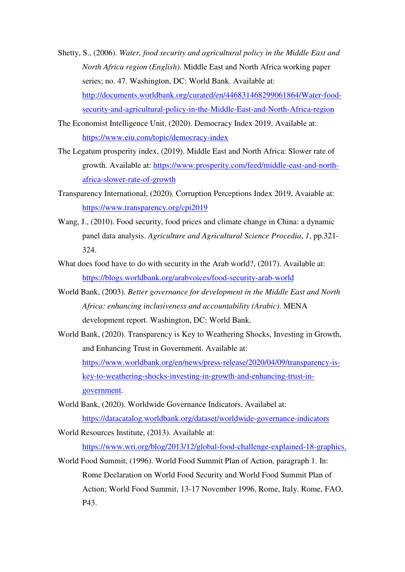- Shetty, S., (2006). *Water, food security and agricultural policy in the Middle East and North Africa region (English)*. Middle East and North Africa working paper series; no. 47. Washington, DC: World Bank. Available at: http://documents.worldbank.org/curated/en/446831468299061864/Water-foodsecurity-and-agricultural-policy-in-the-Middle-East-and-North-Africa-region
- The Economist Intelligence Unit, (2020). Democracy Index 2019, Available at: <https://www.eiu.com/topic/democracy-index>
- The Legatum prosperity index, (2019). Middle East and North Africa: Slower rate of growth. Available at: [https://www.prosperity.com/feed/middle-east-and-north](https://www.prosperity.com/feed/middle-east-and-north-africa-slower-rate-of-growth)[africa-slower-rate-of-growth](https://www.prosperity.com/feed/middle-east-and-north-africa-slower-rate-of-growth)
- Transparency International, (2020). Corruption Perceptions Index 2019, Avaiable at: <https://www.transparency.org/cpi2019>
- Wang, J., (2010). Food security, food prices and climate change in China: a dynamic panel data analysis. *Agriculture and Agricultural Science Procedia*, *1*, pp.321- 324.
- What does food have to do with security in the Arab world?, (2017). Available at: <https://blogs.worldbank.org/arabvoices/food-security-arab-world>
- World Bank, (2003). *Better governance for development in the Middle East and North Africa: enhancing inclusiveness and accountability (Arabic)*. MENA development report. Washington, DC: World Bank.
- World Bank, (2020). Transparency is Key to Weathering Shocks, Investing in Growth, and Enhancing Trust in Government. Available at: [https://www.worldbank.org/en/news/press-release/2020/04/09/transparency-is](https://www.worldbank.org/en/news/press-release/2020/04/09/transparency-is-key-to-weathering-shocks-investing-in-growth-and-enhancing-trust-in-government)[key-to-weathering-shocks-investing-in-growth-and-enhancing-trust-in](https://www.worldbank.org/en/news/press-release/2020/04/09/transparency-is-key-to-weathering-shocks-investing-in-growth-and-enhancing-trust-in-government)[government.](https://www.worldbank.org/en/news/press-release/2020/04/09/transparency-is-key-to-weathering-shocks-investing-in-growth-and-enhancing-trust-in-government)
- World Bank, (2020). Worldwide Governance Indicators. Availabel at: <https://datacatalog.worldbank.org/dataset/worldwide-governance-indicators>
- World Resources Institute, (2013). Available at: [https://www.wri.org/blog/2013/12/global-food-challenge-explained-18-graphics.](https://www.wri.org/blog/2013/12/global-food-challenge-explained-18-graphics)
- World Food Summit, (1996). World Food Summit Plan of Action, paragraph 1. In: Rome Declaration on World Food Security and World Food Summit Plan of Action; World Food Summit, 13-17 November 1996, Rome, Italy. Rome, FAO, P43.